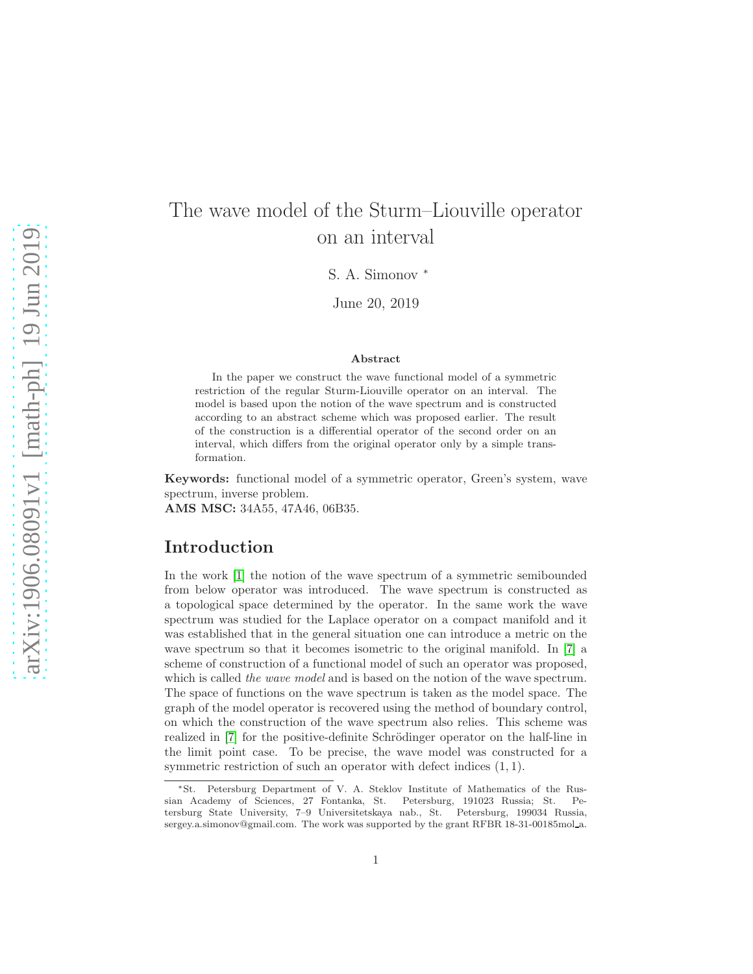# The wave model of the Sturm–Liouville operator on an interval

S. A. Simonov <sup>∗</sup>

June 20, 2019

#### Abstract

In the paper we construct the wave functional model of a symmetric restriction of the regular Sturm-Liouville operator on an interval. The model is based upon the notion of the wave spectrum and is constructed according to an abstract scheme which was proposed earlier. The result of the construction is a differential operator of the second order on an interval, which differs from the original operator only by a simple transformation.

Keywords: functional model of a symmetric operator, Green's system, wave spectrum, inverse problem.

AMS MSC: 34A55, 47A46, 06B35.

# Introduction

In the work [\[1\]](#page-28-0) the notion of the wave spectrum of a symmetric semibounded from below operator was introduced. The wave spectrum is constructed as a topological space determined by the operator. In the same work the wave spectrum was studied for the Laplace operator on a compact manifold and it was established that in the general situation one can introduce a metric on the wave spectrum so that it becomes isometric to the original manifold. In [\[7\]](#page-29-0) a scheme of construction of a functional model of such an operator was proposed, which is called the wave model and is based on the notion of the wave spectrum. The space of functions on the wave spectrum is taken as the model space. The graph of the model operator is recovered using the method of boundary control, on which the construction of the wave spectrum also relies. This scheme was realized in [\[7\]](#page-29-0) for the positive-definite Schrödinger operator on the half-line in the limit point case. To be precise, the wave model was constructed for a symmetric restriction of such an operator with defect indices  $(1, 1)$ .

<sup>∗</sup>St. Petersburg Department of V. A. Steklov Institute of Mathematics of the Russian Academy of Sciences, 27 Fontanka, St. Petersburg, 191023 Russia; St. Petersburg State University, 7–9 Universitetskaya nab., St. Petersburg, 199034 Russia, sergey.a.simonov@gmail.com. The work was supported by the grant RFBR 18-31-00185mol a.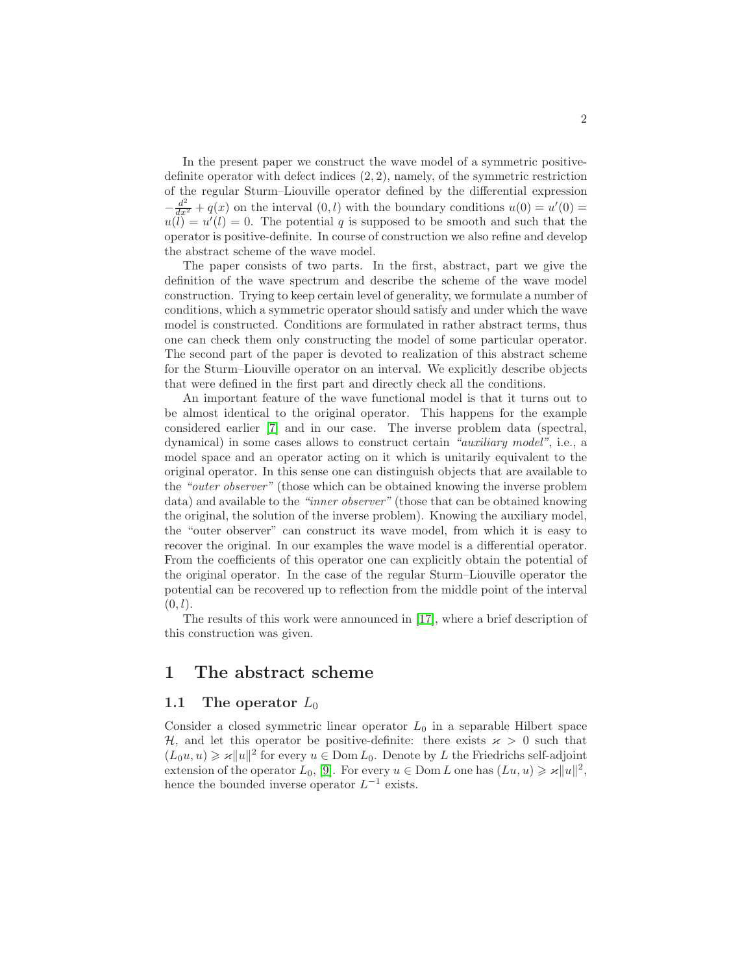In the present paper we construct the wave model of a symmetric positivedefinite operator with defect indices (2, 2), namely, of the symmetric restriction of the regular Sturm–Liouville operator defined by the differential expression  $-\frac{d^2}{dx^2} + q(x)$  on the interval  $(0, l)$  with the boundary conditions  $u(0) = u'(0) =$  $u(\tilde{l}) = u'(l) = 0$ . The potential q is supposed to be smooth and such that the operator is positive-definite. In course of construction we also refine and develop the abstract scheme of the wave model.

The paper consists of two parts. In the first, abstract, part we give the definition of the wave spectrum and describe the scheme of the wave model construction. Trying to keep certain level of generality, we formulate a number of conditions, which a symmetric operator should satisfy and under which the wave model is constructed. Conditions are formulated in rather abstract terms, thus one can check them only constructing the model of some particular operator. The second part of the paper is devoted to realization of this abstract scheme for the Sturm–Liouville operator on an interval. We explicitly describe objects that were defined in the first part and directly check all the conditions.

An important feature of the wave functional model is that it turns out to be almost identical to the original operator. This happens for the example considered earlier [\[7\]](#page-29-0) and in our case. The inverse problem data (spectral, dynamical) in some cases allows to construct certain "auxiliary model", i.e., a model space and an operator acting on it which is unitarily equivalent to the original operator. In this sense one can distinguish objects that are available to the "outer observer" (those which can be obtained knowing the inverse problem data) and available to the "inner observer" (those that can be obtained knowing the original, the solution of the inverse problem). Knowing the auxiliary model, the "outer observer" can construct its wave model, from which it is easy to recover the original. In our examples the wave model is a differential operator. From the coefficients of this operator one can explicitly obtain the potential of the original operator. In the case of the regular Sturm–Liouville operator the potential can be recovered up to reflection from the middle point of the interval  $(0, l).$ 

The results of this work were announced in [\[17\]](#page-29-1), where a brief description of this construction was given.

# 1 The abstract scheme

# 1.1 The operator  $L_0$

Consider a closed symmetric linear operator  $L_0$  in a separable Hilbert space H, and let this operator be positive-definite: there exists  $x > 0$  such that  $(L_0u, u) \ge \varkappa ||u||^2$  for every  $u \in \text{Dom } L_0$ . Denote by L the Friedrichs self-adjoint extension of the operator  $L_0$ , [\[9\]](#page-29-2). For every  $u \in \text{Dom } L$  one has  $(Lu, u) \geq \varkappa ||u||^2$ , hence the bounded inverse operator  $L^{-1}$  exists.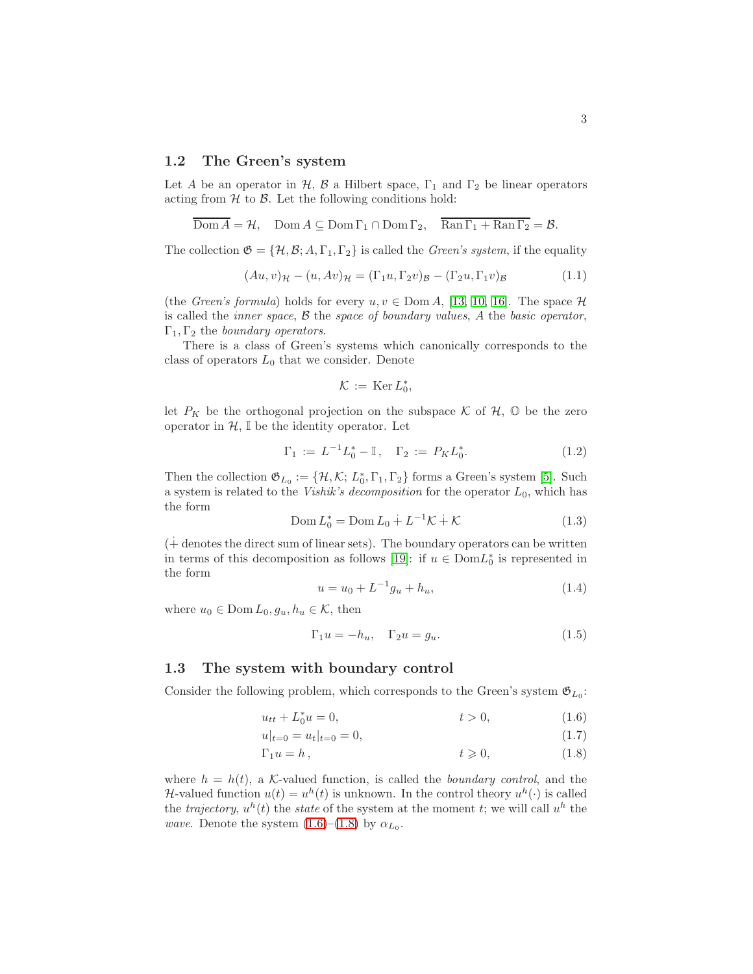### 1.2 The Green's system

Let A be an operator in H, B a Hilbert space,  $\Gamma_1$  and  $\Gamma_2$  be linear operators acting from  $H$  to  $B$ . Let the following conditions hold:

$$
\overline{\text{Dom }A} = \mathcal{H}, \quad \text{Dom }A \subseteq \text{Dom } \Gamma_1 \cap \text{Dom } \Gamma_2, \quad \overline{\text{Ran } \Gamma_1 + \text{Ran } \Gamma_2} = \mathcal{B}.
$$

The collection  $\mathfrak{G} = {\mathcal{H}, \mathcal{B}, A, \Gamma_1, \Gamma_2}$  is called the *Green's system*, if the equality

$$
(Au, v)_{\mathcal{H}} - (u, Av)_{\mathcal{H}} = (\Gamma_1 u, \Gamma_2 v)_{\mathcal{B}} - (\Gamma_2 u, \Gamma_1 v)_{\mathcal{B}}
$$
(1.1)

(the Green's formula) holds for every  $u, v \in \text{Dom } A$ , [\[13,](#page-29-3) [10,](#page-29-4) [16\]](#page-29-5). The space  $\mathcal H$ is called the *inner space*,  $\beta$  the *space of boundary values*,  $A$  the *basic operator*,  $\Gamma_1, \Gamma_2$  the boundary operators.

There is a class of Green's systems which canonically corresponds to the class of operators  $L_0$  that we consider. Denote

$$
\mathcal{K}\,:=\,\text{Ker}\,L_0^*,
$$

let  $P_K$  be the orthogonal projection on the subspace K of H,  $\mathbb O$  be the zero operator in  $H$ ,  $\mathbb I$  be the identity operator. Let

$$
\Gamma_1 := L^{-1} L_0^* - \mathbb{I}, \quad \Gamma_2 := P_K L_0^*.
$$
\n(1.2)

Then the collection  $\mathfrak{G}_{L_0} := \{ \mathcal{H}, \mathcal{K}; L_0^*, \Gamma_1, \Gamma_2 \}$  forms a Green's system [\[5\]](#page-29-6). Such a system is related to the *Vishik's decomposition* for the operator  $L_0$ , which has the form

$$
Dom L_0^* = Dom L_0 + L^{-1} \mathcal{K} + \mathcal{K}
$$
\n(1.3)

 $($  $+$  denotes the direct sum of linear sets). The boundary operators can be written in terms of this decomposition as follows [\[19\]](#page-29-7): if  $u \in Dom L_0^*$  is represented in the form

$$
u = u_0 + L^{-1}g_u + h_u,
$$
\n(1.4)

where  $u_0 \in \text{Dom } L_0, g_u, h_u \in \mathcal{K}$ , then

<span id="page-2-3"></span><span id="page-2-2"></span><span id="page-2-1"></span><span id="page-2-0"></span>
$$
\Gamma_1 u = -h_u, \quad \Gamma_2 u = g_u. \tag{1.5}
$$

#### 1.3 The system with boundary control

Consider the following problem, which corresponds to the Green's system  $\mathfrak{G}_{L_0}$ :

$$
u_{tt} + L_0^* u = 0, \t t > 0,
$$
\t(1.6)

$$
u|_{t=0} = u_t|_{t=0} = 0,\t\t(1.7)
$$

$$
\Gamma_1 u = h, \qquad t \geqslant 0, \qquad (1.8)
$$

where  $h = h(t)$ , a K-valued function, is called the *boundary control*, and the H-valued function  $u(t) = u^h(t)$  is unknown. In the control theory  $u^h(\cdot)$  is called the *trajectory*,  $u^h(t)$  the *state* of the system at the moment t; we will call  $u^h$  the *wave.* Denote the system  $(1.6)$ – $(1.8)$  by  $\alpha_{L_0}$ .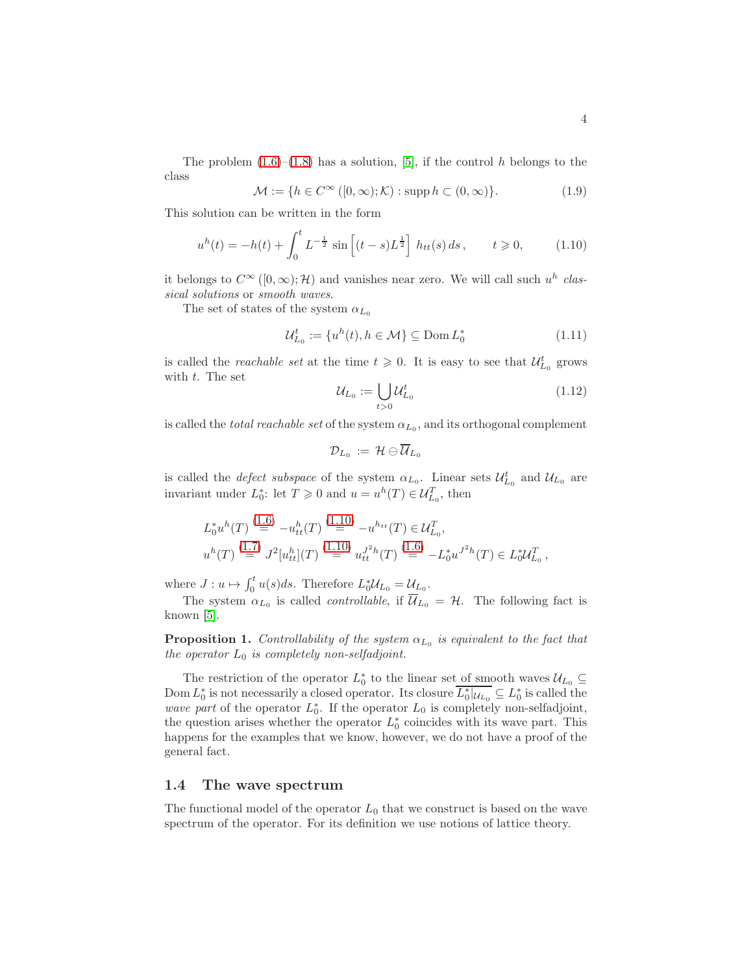The problem  $(1.6)$ – $(1.8)$  has a solution, [\[5\]](#page-29-6), if the control h belongs to the class

$$
\mathcal{M} := \{ h \in C^{\infty}([0, \infty); \mathcal{K}) : \text{supp } h \subset (0, \infty) \}. \tag{1.9}
$$

This solution can be written in the form

<span id="page-3-0"></span>
$$
u^{h}(t) = -h(t) + \int_{0}^{t} L^{-\frac{1}{2}} \sin \left[ (t-s)L^{\frac{1}{2}} \right] h_{tt}(s) ds, \qquad t \geq 0,
$$
 (1.10)

it belongs to  $C^{\infty}([0,\infty);\mathcal{H})$  and vanishes near zero. We will call such  $u^h$  classical solutions or smooth waves.

The set of states of the system  $\alpha_{L_0}$ 

$$
\mathcal{U}_{L_0}^t := \{ u^h(t), h \in \mathcal{M} \} \subseteq \text{Dom}\, L_0^* \tag{1.11}
$$

is called the *reachable set* at the time  $t \geq 0$ . It is easy to see that  $\mathcal{U}_{L_0}^t$  grows with t. The set

$$
\mathcal{U}_{L_0} := \bigcup_{t>0} \mathcal{U}_{L_0}^t \tag{1.12}
$$

is called the *total reachable set* of the system  $\alpha_{L_0}$ , and its orthogonal complement

$$
\mathcal{D}_{L_0}\,:=\,\mathcal{H}\ominus \overline{\mathcal{U}}_{L_0}
$$

is called the *defect subspace* of the system  $\alpha_{L_0}$ . Linear sets  $\mathcal{U}_{L_0}^t$  and  $\mathcal{U}_{L_0}$  are invariant under  $L_0^*$ : let  $T \geq 0$  and  $u = u^h(T) \in \mathcal{U}_{L_0}^T$ , then

$$
L_0^* u^h(T) \stackrel{(1.6)}{=} -u_{tt}^h(T) \stackrel{(1.10)}{=} -u_{tt}^h(T) \in \mathcal{U}_{L_0}^T,
$$
  

$$
u^h(T) \stackrel{(1.7)}{=} J^2[u_{tt}^h](T) \stackrel{(1.10)}{=} u_{tt}^{J^2h}(T) \stackrel{(1.6)}{=} -L_0^* u^{J^2h}(T) \in L_0^* \mathcal{U}_{L_0}^T,
$$

where  $J: u \mapsto \int_0^t u(s)ds$ . Therefore  $L_0^* \mathcal{U}_{L_0} = \mathcal{U}_{L_0}$ .

The system  $\alpha_{L_0}$  is called *controllable*, if  $\mathcal{U}_{L_0} = \mathcal{H}$ . The following fact is known [\[5\]](#page-29-6).

**Proposition 1.** Controllability of the system  $\alpha_{L_0}$  is equivalent to the fact that the operator  $L_0$  is completely non-selfadjoint.

The restriction of the operator  $L_0^*$  to the linear set of smooth waves  $\mathcal{U}_{L_0} \subseteq$ Dom  $L_0^*$  is not necessarily a closed operator. Its closure  $\overline{L_0^*|u_{L_0}} \subseteq L_0^*$  is called the wave part of the operator  $L_0^*$ . If the operator  $L_0$  is completely non-selfadjoint, the question arises whether the operator  $L_0^*$  coincides with its wave part. This happens for the examples that we know, however, we do not have a proof of the general fact.

# 1.4 The wave spectrum

The functional model of the operator  $L_0$  that we construct is based on the wave spectrum of the operator. For its definition we use notions of lattice theory.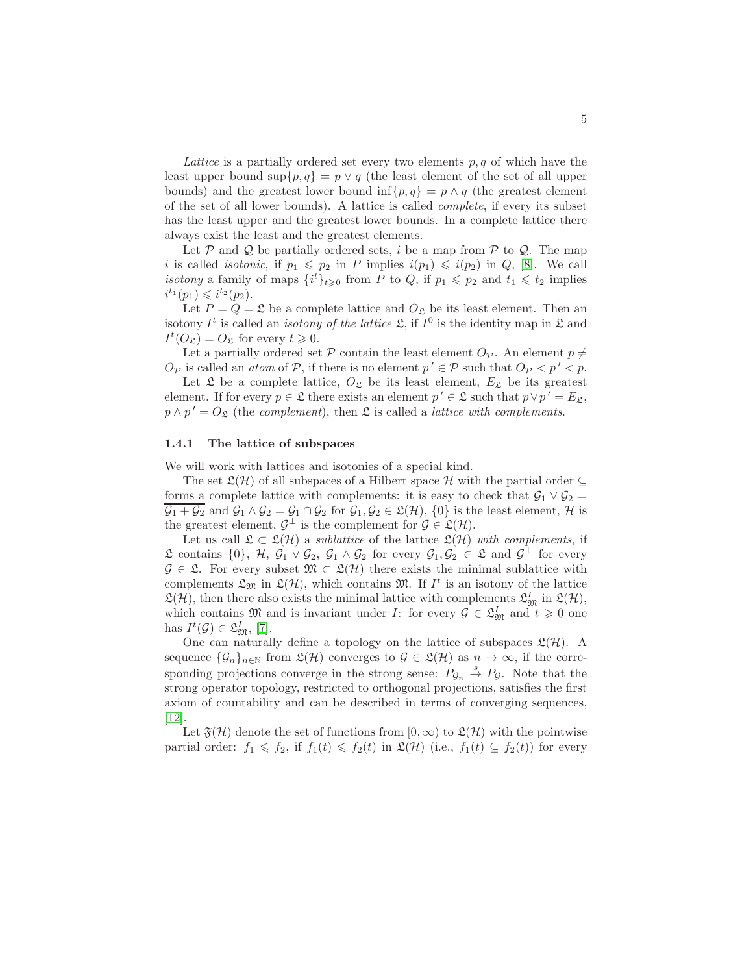Lattice is a partially ordered set every two elements  $p, q$  of which have the least upper bound sup $\{p,q\} = p \vee q$  (the least element of the set of all upper bounds) and the greatest lower bound inf{p, q} =  $p \wedge q$  (the greatest element of the set of all lower bounds). A lattice is called complete, if every its subset has the least upper and the greatest lower bounds. In a complete lattice there always exist the least and the greatest elements.

Let  $P$  and  $Q$  be partially ordered sets, i be a map from  $P$  to  $Q$ . The map i is called *isotonic*, if  $p_1 \leq p_2$  in P implies  $i(p_1) \leq i(p_2)$  in Q, [\[8\]](#page-29-8). We call *isotony* a family of maps  $\{i^t\}_{t\geqslant 0}$  from P to Q, if  $p_1 \leqslant p_2$  and  $t_1 \leqslant t_2$  implies  $i^{t_1}(p_1) \leq i^{t_2}(p_2).$ 

Let  $P = Q = \mathfrak{L}$  be a complete lattice and  $O_{\mathfrak{L}}$  be its least element. Then an isotony  $I^t$  is called an *isotony of the lattice*  $\mathfrak{L}$ , if  $I^0$  is the identity map in  $\mathfrak L$  and  $I^t(O_{\mathfrak{L}}) = O_{\mathfrak{L}}$  for every  $t \geqslant 0$ .

Let a partially ordered set P contain the least element  $O_{\mathcal{P}}$ . An element  $p \neq$  $O_{\mathcal{P}}$  is called an *atom* of  $\mathcal{P}$ , if there is no element  $p' \in \mathcal{P}$  such that  $O_{\mathcal{P}} < p' < p$ .

Let  $\mathfrak L$  be a complete lattice,  $O_{\mathfrak L}$  be its least element,  $E_{\mathfrak L}$  be its greatest element. If for every  $p \in \mathfrak{L}$  there exists an element  $p' \in \mathfrak{L}$  such that  $p \vee p' = E_{\mathfrak{L}}$ ,  $p \wedge p' = O_{\mathfrak{L}}$  (the complement), then  $\mathfrak{L}$  is called a *lattice with complements*.

#### 1.4.1 The lattice of subspaces

We will work with lattices and isotonies of a special kind.

The set  $\mathfrak{L}(\mathcal{H})$  of all subspaces of a Hilbert space H with the partial order  $\subseteq$ forms a complete lattice with complements: it is easy to check that  $\mathcal{G}_1 \vee \mathcal{G}_2 =$  $\overline{\mathcal{G}_1 + \mathcal{G}_2}$  and  $\mathcal{G}_1 \wedge \mathcal{G}_2 = \mathcal{G}_1 \cap \mathcal{G}_2$  for  $\mathcal{G}_1, \mathcal{G}_2 \in \mathfrak{L}(\mathcal{H}), \{0\}$  is the least element,  $\mathcal{H}$  is the greatest element,  $\mathcal{G}^{\perp}$  is the complement for  $\mathcal{G} \in \mathfrak{L}(\mathcal{H})$ .

Let us call  $\mathfrak{L} \subset \mathfrak{L}(\mathcal{H})$  a *sublattice* of the lattice  $\mathfrak{L}(\mathcal{H})$  with complements, if  $\mathfrak{L}$  contains  $\{0\}$ ,  $\mathcal{H}$ ,  $\mathcal{G}_1 \vee \mathcal{G}_2$ ,  $\mathcal{G}_1 \wedge \mathcal{G}_2$  for every  $\mathcal{G}_1$ ,  $\mathcal{G}_2 \in \mathfrak{L}$  and  $\mathcal{G}^{\perp}$  for every  $\mathcal{G} \in \mathfrak{L}$ . For every subset  $\mathfrak{M} \subset \mathfrak{L}(\mathcal{H})$  there exists the minimal sublattice with complements  $\mathfrak{L}_{\mathfrak{M}}$  in  $\mathfrak{L}(\mathcal{H})$ , which contains  $\mathfrak{M}$ . If  $I^t$  is an isotony of the lattice  $\mathfrak{L}(\mathcal{H})$ , then there also exists the minimal lattice with complements  $\mathfrak{L}_{\mathfrak{M}}^{I}$  in  $\mathfrak{L}(\mathcal{H})$ , which contains  $\mathfrak{M}$  and is invariant under *I*: for every  $\mathcal{G} \in \mathfrak{L}_{\mathfrak{M}}^I$  and  $t \geq 0$  one has  $I^t(\mathcal{G}) \in \mathfrak{L}^I_{\mathfrak{M}}, [7]$  $I^t(\mathcal{G}) \in \mathfrak{L}^I_{\mathfrak{M}}, [7]$ .

One can naturally define a topology on the lattice of subspaces  $\mathfrak{L}(\mathcal{H})$ . A sequence  $\{\mathcal{G}_n\}_{n\in\mathbb{N}}$  from  $\mathfrak{L}(\mathcal{H})$  converges to  $\mathcal{G} \in \mathfrak{L}(\mathcal{H})$  as  $n \to \infty$ , if the corresponding projections converge in the strong sense:  $P_{\mathcal{G}_n} \stackrel{s}{\rightarrow} P_{\mathcal{G}}$ . Note that the strong operator topology, restricted to orthogonal projections, satisfies the first axiom of countability and can be described in terms of converging sequences, [\[12\]](#page-29-9).

Let  $\mathfrak{F}(\mathcal{H})$  denote the set of functions from  $[0,\infty)$  to  $\mathfrak{L}(\mathcal{H})$  with the pointwise partial order:  $f_1 \leqslant f_2$ , if  $f_1(t) \leqslant f_2(t)$  in  $\mathfrak{L}(\mathcal{H})$  (i.e.,  $f_1(t) \subseteq f_2(t)$ ) for every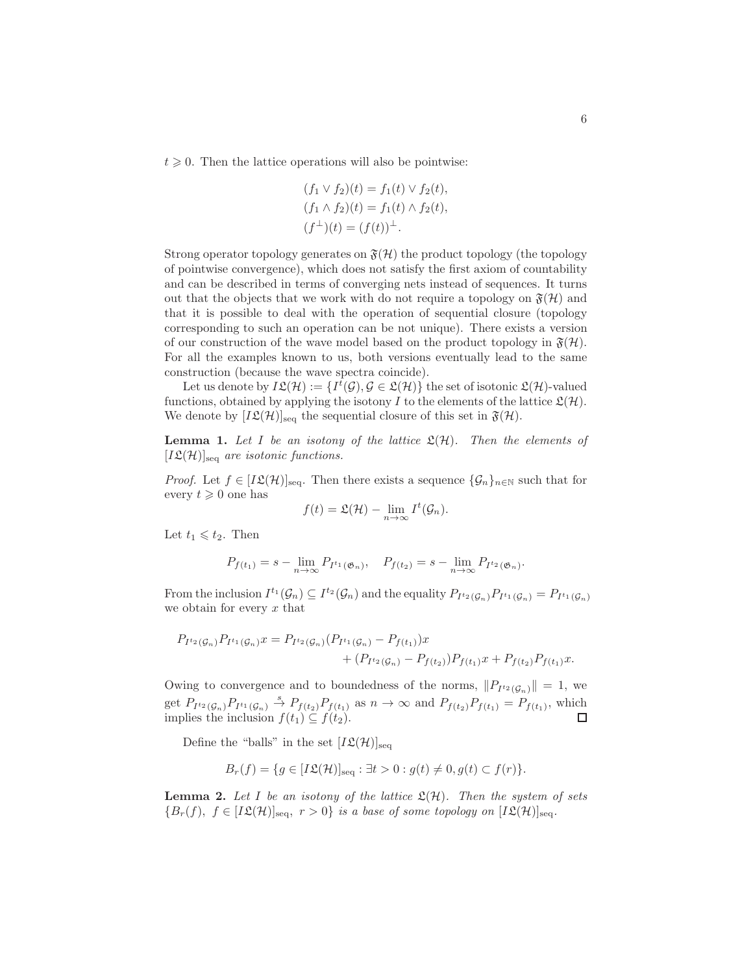$t \geq 0$ . Then the lattice operations will also be pointwise:

$$
(f_1 \vee f_2)(t) = f_1(t) \vee f_2(t), (f_1 \wedge f_2)(t) = f_1(t) \wedge f_2(t), (f^{\perp})(t) = (f(t))^{\perp}.
$$

Strong operator topology generates on  $\mathfrak{F}(\mathcal{H})$  the product topology (the topology of pointwise convergence), which does not satisfy the first axiom of countability and can be described in terms of converging nets instead of sequences. It turns out that the objects that we work with do not require a topology on  $\mathfrak{F}(\mathcal{H})$  and that it is possible to deal with the operation of sequential closure (topology corresponding to such an operation can be not unique). There exists a version of our construction of the wave model based on the product topology in  $\mathfrak{F}(\mathcal{H})$ . For all the examples known to us, both versions eventually lead to the same construction (because the wave spectra coincide).

Let us denote by  $I\mathfrak{L}(\mathcal{H}) := \{I^t(\mathcal{G}), \mathcal{G} \in \mathfrak{L}(\mathcal{H})\}$  the set of isotonic  $\mathfrak{L}(\mathcal{H})$ -valued functions, obtained by applying the isotony I to the elements of the lattice  $\mathfrak{L}(\mathcal{H})$ . We denote by  $[I\mathfrak{L}(\mathcal{H})]_{\text{seq}}$  the sequential closure of this set in  $\mathfrak{F}(\mathcal{H})$ .

<span id="page-5-0"></span>**Lemma 1.** Let I be an isotony of the lattice  $\mathfrak{L}(\mathcal{H})$ . Then the elements of  $[I\mathfrak{L}(\mathcal{H})]_{\text{seq}}$  are isotonic functions.

*Proof.* Let  $f \in [I\mathfrak{L}(\mathcal{H})]_{\text{seq}}$ . Then there exists a sequence  $\{\mathcal{G}_n\}_{n\in\mathbb{N}}$  such that for every  $t \geq 0$  one has

$$
f(t) = \mathfrak{L}(\mathcal{H}) - \lim_{n \to \infty} I^t(\mathcal{G}_n).
$$

Let  $t_1 \leqslant t_2$ . Then

$$
P_{f(t_1)} = s - \lim_{n \to \infty} P_{I^{t_1}(\mathfrak{G}_n)}, \quad P_{f(t_2)} = s - \lim_{n \to \infty} P_{I^{t_2}(\mathfrak{G}_n)}.
$$

From the inclusion  $I^{t_1}(\mathcal{G}_n) \subseteq I^{t_2}(\mathcal{G}_n)$  and the equality  $P_{I^{t_2}(\mathcal{G}_n)}P_{I^{t_1}(\mathcal{G}_n)}=P_{I^{t_1}(\mathcal{G}_n)}$ we obtain for every  $x$  that

$$
P_{I^{t_2}(\mathcal{G}_n)} P_{I^{t_1}(\mathcal{G}_n)} x = P_{I^{t_2}(\mathcal{G}_n)} (P_{I^{t_1}(\mathcal{G}_n)} - P_{f(t_1)}) x + (P_{I^{t_2}(\mathcal{G}_n)} - P_{f(t_2)}) P_{f(t_1)} x + P_{f(t_2)} P_{f(t_1)} x.
$$

Owing to convergence and to boundedness of the norms,  $||P_{I^t2}(\mathcal{G}_n)|| = 1$ , we get  $P_{I^{t_2}(\mathcal{G}_n)}P_{I^{t_1}(\mathcal{G}_n)} \stackrel{s}{\to} P_{f(t_2)}P_{f(t_1)}$  as  $n \to \infty$  and  $P_{f(t_2)}P_{f(t_1)} = P_{f(t_1)}$ , which implies the inclusion  $f(t_1) \subseteq f(t_2)$ . □

Define the "balls" in the set  $[I\mathfrak{L}(\mathcal{H})]_{\text{seq}}$ 

$$
B_r(f) = \{ g \in [I\mathfrak{L}(\mathcal{H})]_{\text{seq}} : \exists t > 0 : g(t) \neq 0, g(t) \subset f(r) \}.
$$

<span id="page-5-1"></span>**Lemma 2.** Let I be an isotony of the lattice  $\mathfrak{L}(\mathcal{H})$ . Then the system of sets  ${B_r(f), f \in [I\mathfrak{L}(\mathcal{H})]_{\text{seq}}}, r > 0}$  is a base of some topology on  $[I\mathfrak{L}(\mathcal{H})]_{\text{seq}}.$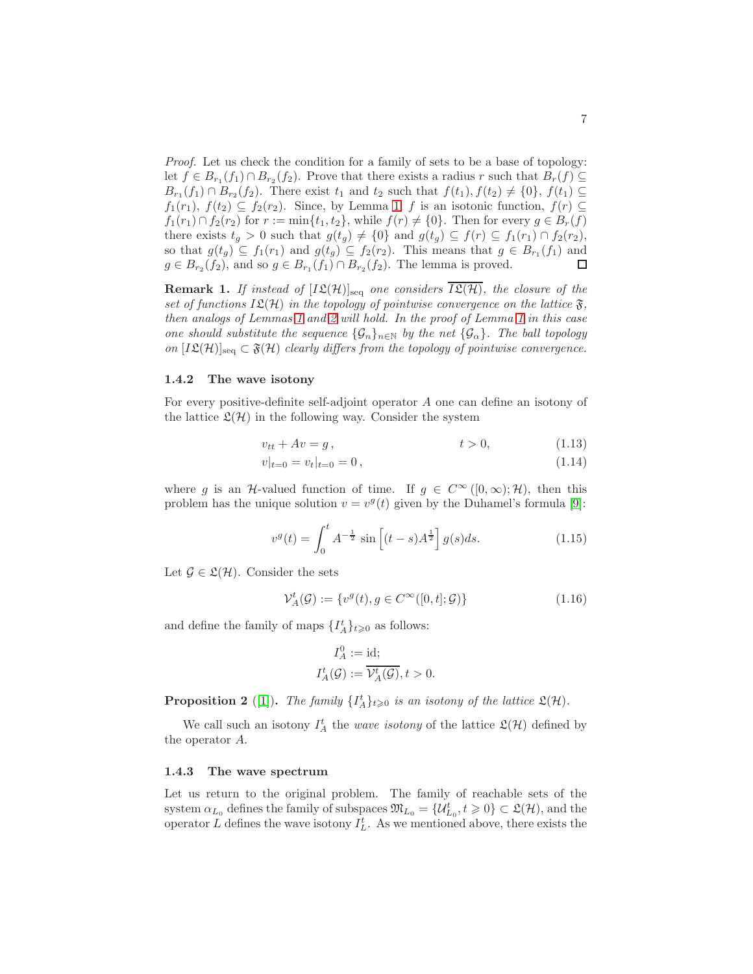Proof. Let us check the condition for a family of sets to be a base of topology: let  $f \in B_{r_1}(f_1) \cap B_{r_2}(f_2)$ . Prove that there exists a radius r such that  $B_r(f) \subseteq$  $B_{r_1}(f_1) \cap B_{r_2}(f_2)$ . There exist  $t_1$  and  $t_2$  such that  $f(t_1), f(t_2) \neq \{0\}, f(t_1) \subseteq$  $f_1(r_1), f(t_2) \subseteq f_2(r_2)$ . Since, by Lemma [1,](#page-5-0) f is an isotonic function,  $f(r) \subseteq$  $f_1(r_1) \cap f_2(r_2)$  for  $r := \min\{t_1, t_2\}$ , while  $f(r) \neq \{0\}$ . Then for every  $g \in B_r(f)$ there exists  $t_g > 0$  such that  $g(t_g) \neq \{0\}$  and  $g(t_g) \subseteq f(r) \subseteq f_1(r_1) \cap f_2(r_2)$ , so that  $g(t_g) \subseteq f_1(r_1)$  and  $g(t_g) \subseteq f_2(r_2)$ . This means that  $g \in B_{r_1}(f_1)$  and  $g \in B_{r_2}(f_2)$ , and so  $g \in B_{r_1}(f_1) \cap B_{r_2}(f_2)$ . The lemma is proved.  $\Box$ 

**Remark 1.** If instead of  $[I\mathfrak{L}(\mathcal{H})]_{\text{seq}}$  one considers  $\overline{I\mathfrak{L}(\mathcal{H})}$ , the closure of the set of functions  $I\mathfrak{L}(\mathcal{H})$  in the topology of pointwise convergence on the lattice  $\mathfrak{F}$ , then analogs of Lemmas [1](#page-5-0) and [2](#page-5-1) will hold. In the proof of Lemma [1](#page-5-0) in this case one should substitute the sequence  $\{\mathcal{G}_n\}_{n\in\mathbb{N}}$  by the net  $\{\mathcal{G}_\alpha\}$ . The ball topology on  $[I\mathfrak{L}(\mathcal{H})]_{\text{seq}} \subset \mathfrak{F}(\mathcal{H})$  clearly differs from the topology of pointwise convergence.

#### 1.4.2 The wave isotony

For every positive-definite self-adjoint operator A one can define an isotony of the lattice  $\mathfrak{L}(\mathcal{H})$  in the following way. Consider the system

$$
v_{tt} + Av = g, \qquad t > 0, \qquad (1.13)
$$

<span id="page-6-1"></span><span id="page-6-0"></span>
$$
v|_{t=0} = v_t|_{t=0} = 0, \t\t(1.14)
$$

where g is an H-valued function of time. If  $g \in C^{\infty}([0,\infty);\mathcal{H})$ , then this problem has the unique solution  $v = v<sup>g</sup>(t)$  given by the Duhamel's formula [\[9\]](#page-29-2):

$$
v^{g}(t) = \int_{0}^{t} A^{-\frac{1}{2}} \sin \left[ (t - s) A^{\frac{1}{2}} \right] g(s) ds.
$$
 (1.15)

Let  $\mathcal{G} \in \mathfrak{L}(\mathcal{H})$ . Consider the sets

$$
\mathcal{V}_A^t(\mathcal{G}) := \{ v^g(t), g \in C^\infty([0, t]; \mathcal{G}) \}
$$
\n
$$
(1.16)
$$

and define the family of maps  $\{I_A^t\}_{t\geqslant 0}$  as follows:

$$
I_A^0 := \text{id};
$$
  

$$
I_A^t(\mathcal{G}) := \overline{\mathcal{V}_A^t(\mathcal{G})}, t > 0.
$$

**Proposition 2** ([\[1\]](#page-28-0)). The family  $\{I_A^t\}_{t\geqslant0}$  is an isotony of the lattice  $\mathfrak{L}(\mathcal{H})$ .

We call such an isotony  $I_A^t$  the *wave isotony* of the lattice  $\mathfrak{L}(\mathcal{H})$  defined by the operator A.

#### 1.4.3 The wave spectrum

Let us return to the original problem. The family of reachable sets of the system  $\alpha_{L_0}$  defines the family of subspaces  $\mathfrak{M}_{L_0} = \{ \mathcal{U}_{L_0}^t, t \geqslant 0 \} \subset \mathfrak{L}(\mathcal{H})$ , and the operator L defines the wave isotony  $I_L^t$ . As we mentioned above, there exists the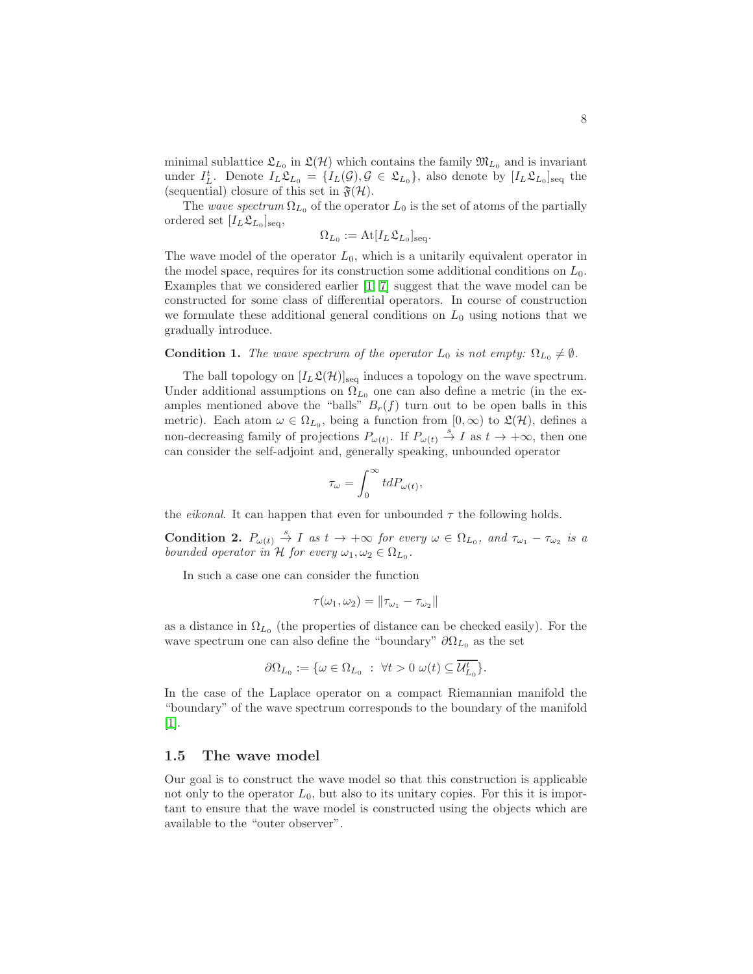minimal sublattice  $\mathfrak{L}_{L_0}$  in  $\mathfrak{L}(\mathcal{H})$  which contains the family  $\mathfrak{M}_{L_0}$  and is invariant under  $I_L^t$ . Denote  $I_L \mathfrak{L}_{L_0} = \{I_L(\mathcal{G}), \mathcal{G} \in \mathfrak{L}_{L_0}\}$ , also denote by  $[I_L \mathfrak{L}_{L_0}]_{\text{seq}}$  the (sequential) closure of this set in  $\mathfrak{F}(\mathcal{H})$ .

The wave spectrum  $\Omega_{L_0}$  of the operator  $L_0$  is the set of atoms of the partially ordered set  $[I_L \mathfrak{L}_{L_0}]_{\text{seq}},$ 

$$
\Omega_{L_0} := \text{At}[I_L \mathfrak{L}_{L_0}]_{\text{seq}}.
$$

The wave model of the operator  $L_0$ , which is a unitarily equivalent operator in the model space, requires for its construction some additional conditions on  $L_0$ . Examples that we considered earlier [\[1,](#page-28-0) [7\]](#page-29-0) suggest that the wave model can be constructed for some class of differential operators. In course of construction we formulate these additional general conditions on  $L_0$  using notions that we gradually introduce.

#### **Condition 1.** The wave spectrum of the operator  $L_0$  is not empty:  $\Omega_{L_0} \neq \emptyset$ .

The ball topology on  $[I_L\mathfrak{L}(\mathcal{H})]_{\text{seq}}$  induces a topology on the wave spectrum. Under additional assumptions on  $\Omega_{L_0}$  one can also define a metric (in the examples mentioned above the "balls"  $B_r(f)$  turn out to be open balls in this metric). Each atom  $\omega \in \Omega_{L_0}$ , being a function from  $[0, \infty)$  to  $\mathfrak{L}(\mathcal{H})$ , defines a non-decreasing family of projections  $P_{\omega(t)}$ . If  $P_{\omega(t)} \stackrel{s}{\to} I$  as  $t \to +\infty$ , then one can consider the self-adjoint and, generally speaking, unbounded operator

$$
\tau_{\omega} = \int_0^{\infty} t dP_{\omega(t)},
$$

the *eikonal*. It can happen that even for unbounded  $\tau$  the following holds.

**Condition 2.**  $P_{\omega(t)} \stackrel{s}{\rightarrow} I$  as  $t \rightarrow +\infty$  for every  $\omega \in \Omega_{L_0}$ , and  $\tau_{\omega_1} - \tau_{\omega_2}$  is a bounded operator in H for every  $\omega_1, \omega_2 \in \Omega_{L_0}$ .

In such a case one can consider the function

$$
\tau(\omega_1, \omega_2) = \|\tau_{\omega_1} - \tau_{\omega_2}\|
$$

as a distance in  $\Omega_{L_0}$  (the properties of distance can be checked easily). For the wave spectrum one can also define the "boundary"  $\partial \Omega_{L_0}$  as the set

$$
\partial\Omega_{L_0} := \{ \omega \in \Omega_{L_0} : \ \forall t > 0 \ \omega(t) \subseteq \overline{\mathcal{U}_{L_0}^t} \}.
$$

In the case of the Laplace operator on a compact Riemannian manifold the "boundary" of the wave spectrum corresponds to the boundary of the manifold [\[1\]](#page-28-0).

### 1.5 The wave model

Our goal is to construct the wave model so that this construction is applicable not only to the operator  $L_0$ , but also to its unitary copies. For this it is important to ensure that the wave model is constructed using the objects which are available to the "outer observer".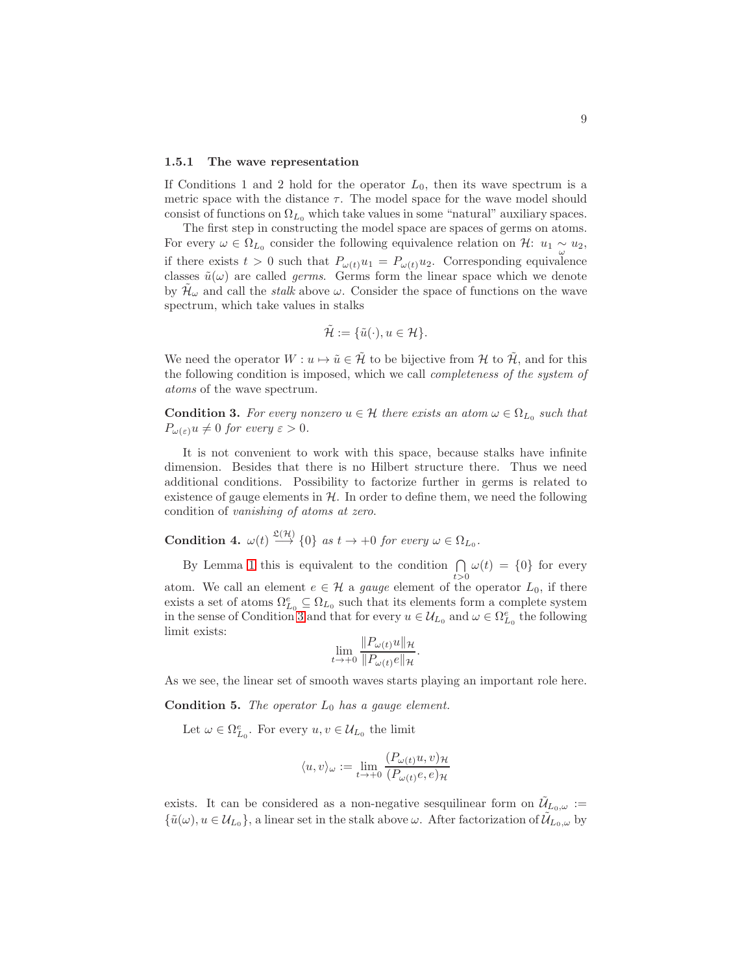#### 1.5.1 The wave representation

If Conditions 1 and 2 hold for the operator  $L_0$ , then its wave spectrum is a metric space with the distance  $\tau$ . The model space for the wave model should consist of functions on  $\Omega_{L_0}$  which take values in some "natural" auxiliary spaces.

The first step in constructing the model space are spaces of germs on atoms. For every  $\omega \in \Omega_{L_0}$  consider the following equivalence relation on  $\mathcal{H}$ :  $u_1 \sim u_2$ , if there exists  $t > 0$  such that  $P_{\omega(t)}u_1 = P_{\omega(t)}u_2$ . Corresponding equivalence classes  $\tilde{u}(\omega)$  are called *germs*. Germs form the linear space which we denote by  $\tilde{\mathcal{H}}_{\omega}$  and call the *stalk* above  $\omega$ . Consider the space of functions on the wave spectrum, which take values in stalks

$$
\tilde{\mathcal{H}} := \{ \tilde{u}(\cdot), u \in \mathcal{H} \}.
$$

We need the operator  $W : u \mapsto \tilde{u} \in \tilde{\mathcal{H}}$  to be bijective from  $\mathcal{H}$  to  $\tilde{\mathcal{H}}$ , and for this the following condition is imposed, which we call completeness of the system of atoms of the wave spectrum.

<span id="page-8-0"></span>**Condition 3.** For every nonzero  $u \in \mathcal{H}$  there exists an atom  $\omega \in \Omega_{L_0}$  such that  $P_{\omega(\varepsilon)}u \neq 0$  for every  $\varepsilon > 0$ .

It is not convenient to work with this space, because stalks have infinite dimension. Besides that there is no Hilbert structure there. Thus we need additional conditions. Possibility to factorize further in germs is related to existence of gauge elements in  $H$ . In order to define them, we need the following condition of vanishing of atoms at zero.

**Condition 4.**  $\omega(t) \stackrel{\mathfrak{L}(\mathcal{H})}{\longrightarrow} \{0\}$  as  $t \to +0$  for every  $\omega \in \Omega_{L_0}$ .

By Lemma [1](#page-5-0) this is equivalent to the condition  $\bigcap_{t>0} \omega(t) = \{0\}$  for every atom. We call an element  $e \in \mathcal{H}$  a gauge element of the operator  $L_0$ , if there exists a set of atoms  $\Omega_{L_0}^e \subseteq \Omega_{L_0}$  such that its elements form a complete system in the sense of Condition [3](#page-8-0) and that for every  $u \in \mathcal{U}_{L_0}$  and  $\omega \in \Omega_{L_0}^e$  the following limit exists:

$$
\lim_{t\to+0}\frac{\|P_{\omega(t)}u\|_{\mathcal{H}}}{\|P_{\omega(t)}e\|_{\mathcal{H}}}.
$$

As we see, the linear set of smooth waves starts playing an important role here.

<span id="page-8-1"></span>**Condition 5.** The operator  $L_0$  has a gauge element.

Let  $\omega \in \Omega_{L_0}^e$ . For every  $u, v \in \mathcal{U}_{L_0}$  the limit

$$
\langle u, v \rangle_{\omega} := \lim_{t \to +0} \frac{(P_{\omega(t)}u, v)_{\mathcal{H}}}{(P_{\omega(t)}e, e)_{\mathcal{H}}}
$$

exists. It can be considered as a non-negative sesquilinear form on  $\tilde{U}_{L_0,\omega}$  :=  ${\{\tilde{u}(\omega), u \in \mathcal{U}_{L_0}\}}$ , a linear set in the stalk above  $\omega$ . After factorization of  $\mathcal{U}_{L_0,\omega}$  by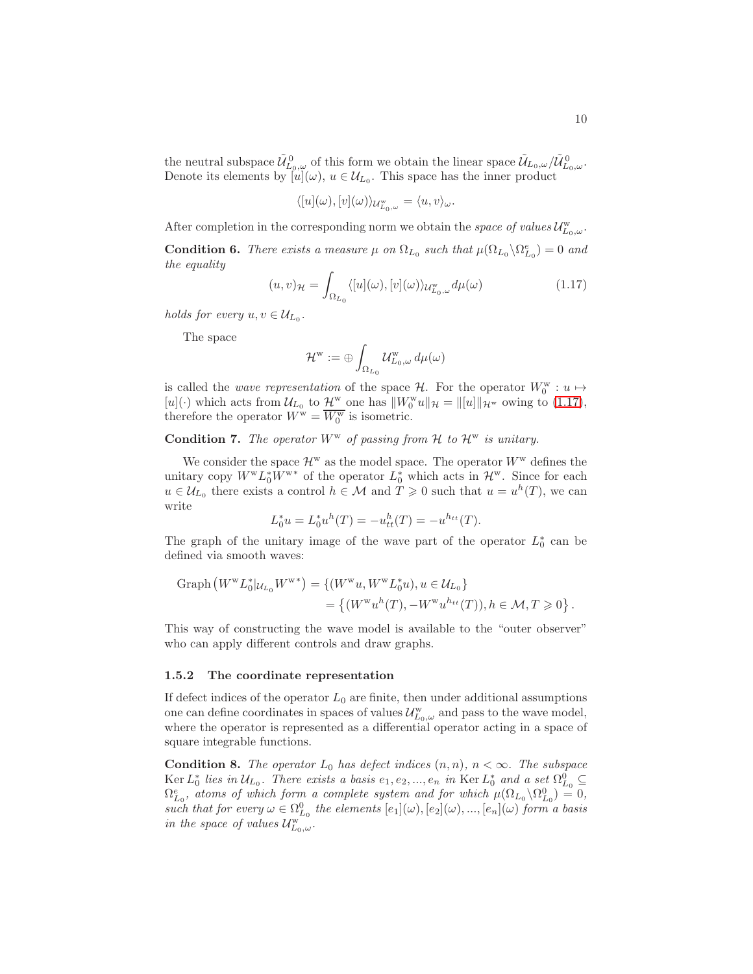the neutral subspace  $\tilde{\mathcal{U}}_{L_0,\omega}^0$  of this form we obtain the linear space  $\tilde{\mathcal{U}}_{L_0,\omega}/\tilde{\mathcal{U}}_{L_0,\omega}^0$ . Denote its elements by  $[u](\omega)$ ,  $u \in \mathcal{U}_{L_0}$ . This space has the inner product

$$
\langle [u](\omega), [v](\omega) \rangle_{\mathcal{U}_{L_0,\omega}^{\mathbf{w}}} = \langle u, v \rangle_{\omega}.
$$

After completion in the corresponding norm we obtain the *space of values*  $\mathcal{U}^{\text{w}}_{L_0,\omega}$ .

<span id="page-9-1"></span>**Condition 6.** There exists a measure  $\mu$  on  $\Omega_{L_0}$  such that  $\mu(\Omega_{L_0} \backslash \Omega_{L_0}^e) = 0$  and the equality

<span id="page-9-0"></span>
$$
(u,v)_{\mathcal{H}} = \int_{\Omega_{L_0}} \langle [u](\omega), [v](\omega) \rangle_{\mathcal{U}_{L_0,\omega}^{\mathbf{w}}} d\mu(\omega) \tag{1.17}
$$

holds for every  $u, v \in \mathcal{U}_{L_0}$ .

The space

$$
\mathcal{H}^{\rm w}:=\oplus\int_{\Omega_{L_0}}\mathcal{U}^{\rm w}_{L_0,\omega}\,d\mu(\omega)
$$

is called the *wave representation* of the space  $H$ . For the operator  $W_0^w : u \mapsto$ is cannot the *udve* representation of the space  $\pi$ . For the operator  $W_0$  :  $u \mapsto [u](\cdot)$  which acts from  $\mathcal{U}_{L_0}$  to  $\mathcal{H}^w$  one has  $||W_0^w u||_{\mathcal{H}} = ||[u]||_{\mathcal{H}^w}$  owing to [\(1.17\)](#page-9-0), therefore the operator  $W^{\mathbf{w}} = \overline{W_0^{\mathbf{w}}}$  is isometric.

<span id="page-9-2"></span>**Condition 7.** The operator  $W^w$  of passing from  $H$  to  $H^w$  is unitary.

We consider the space  $\mathcal{H}^w$  as the model space. The operator  $W^w$  defines the unitary copy  $W^w L_0^* \hat{W}^{w*}$  of the operator  $L_0^*$  which acts in  $\mathcal{H}^w$ . Since for each  $u \in \mathcal{U}_{L_0}$  there exists a control  $h \in \mathcal{M}$  and  $T \geq 0$  such that  $u = u^h(T)$ , we can write

$$
L_0^* u = L_0^* u^h(T) = -u_{tt}^h(T) = -u^{h_{tt}}(T).
$$

The graph of the unitary image of the wave part of the operator  $L_0^*$  can be defined via smooth waves:

Graph 
$$
(W^w L_0^* | u_{L_0} W^{w*}) = \{(W^w u, W^w L_0^* u), u \in U_{L_0}\}
$$
  
=  $\{(W^w u^h(T), -W^w u^{h_{tt}}(T)), h \in \mathcal{M}, T \geq 0\}.$ 

This way of constructing the wave model is available to the "outer observer" who can apply different controls and draw graphs.

#### 1.5.2 The coordinate representation

If defect indices of the operator  $L_0$  are finite, then under additional assumptions one can define coordinates in spaces of values  $\mathcal{U}^{\rm w}_{L_0,\omega}$  and pass to the wave model, where the operator is represented as a differential operator acting in a space of square integrable functions.

<span id="page-9-3"></span>**Condition 8.** The operator  $L_0$  has defect indices  $(n, n)$ ,  $n < \infty$ . The subspace  $\text{Ker } L_0^*$  lies in  $\mathcal{U}_{L_0}$ . There exists a basis  $e_1, e_2, ..., e_n$  in  $\text{Ker } L_0^*$  and a set  $\Omega_{L_0}^0 \subseteq$  $\Omega_{L_0}^e$ , atoms of which form a complete system and for which  $\mu(\Omega_{L_0} \backslash \Omega_{L_0}^0) = 0$ , such that for every  $\omega \in \Omega_{L_0}^0$  the elements  $[e_1](\omega), [e_2](\omega), ..., [e_n](\omega)$  form a basis in the space of values  $\mathcal{U}^{\text{w}}_{L_0,\omega}$ .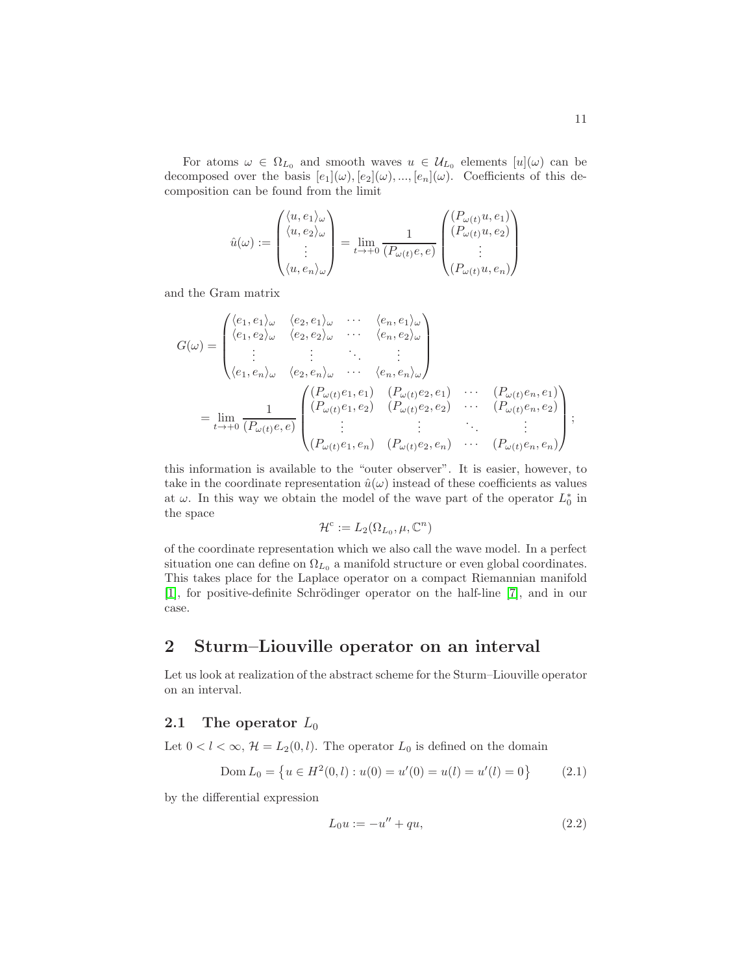For atoms  $\omega \in \Omega_{L_0}$  and smooth waves  $u \in \mathcal{U}_{L_0}$  elements  $[u](\omega)$  can be decomposed over the basis  $[e_1](\omega), [e_2](\omega), ..., [e_n](\omega)$ . Coefficients of this decomposition can be found from the limit

$$
\hat{u}(\omega) := \begin{pmatrix} \langle u, e_1 \rangle_{\omega} \\ \langle u, e_2 \rangle_{\omega} \\ \vdots \\ \langle u, e_n \rangle_{\omega} \end{pmatrix} = \lim_{t \to +0} \frac{1}{(P_{\omega(t)}e, e)} \begin{pmatrix} (P_{\omega(t)}u, e_1) \\ (P_{\omega(t)}u, e_2) \\ \vdots \\ (P_{\omega(t)}u, e_n) \end{pmatrix}
$$

and the Gram matrix

$$
G(\omega) = \begin{pmatrix} \langle e_1, e_1 \rangle_{\omega} & \langle e_2, e_1 \rangle_{\omega} & \cdots & \langle e_n, e_1 \rangle_{\omega} \\ \langle e_1, e_2 \rangle_{\omega} & \langle e_2, e_2 \rangle_{\omega} & \cdots & \langle e_n, e_2 \rangle_{\omega} \\ \vdots & \vdots & \ddots & \vdots \\ \langle e_1, e_n \rangle_{\omega} & \langle e_2, e_n \rangle_{\omega} & \cdots & \langle e_n, e_n \rangle_{\omega} \end{pmatrix}
$$
  
= 
$$
\lim_{t \to +0} \frac{1}{(P_{\omega(t)}e, e)} \begin{pmatrix} (P_{\omega(t)}e_1, e_1) & (P_{\omega(t)}e_2, e_1) & \cdots & (P_{\omega(t)}e_n, e_1) \\ (P_{\omega(t)}e_1, e_2) & (P_{\omega(t)}e_2, e_2) & \cdots & (P_{\omega(t)}e_n, e_2) \\ \vdots & \vdots & \ddots & \vdots \\ (P_{\omega(t)}e_1, e_n) & (P_{\omega(t)}e_2, e_n) & \cdots & (P_{\omega(t)}e_n, e_n) \end{pmatrix};
$$

this information is available to the "outer observer". It is easier, however, to take in the coordinate representation  $\hat{u}(\omega)$  instead of these coefficients as values at  $\omega$ . In this way we obtain the model of the wave part of the operator  $L_0^*$  in the space

$$
\mathcal{H}^c := L_2(\Omega_{L_0}, \mu, \mathbb{C}^n)
$$

of the coordinate representation which we also call the wave model. In a perfect situation one can define on  $\Omega_{L_0}$  a manifold structure or even global coordinates. This takes place for the Laplace operator on a compact Riemannian manifold [\[1\]](#page-28-0), for positive-definite Schrödinger operator on the half-line [\[7\]](#page-29-0), and in our case.

# 2 Sturm–Liouville operator on an interval

Let us look at realization of the abstract scheme for the Sturm–Liouville operator on an interval.

# 2.1 The operator  $L_0$

Let  $0 < l < \infty$ ,  $\mathcal{H} = L_2(0, l)$ . The operator  $L_0$  is defined on the domain

<span id="page-10-0"></span>
$$
Dom L_0 = \{ u \in H^2(0, l) : u(0) = u'(0) = u(l) = u'(l) = 0 \}
$$
 (2.1)

by the differential expression

<span id="page-10-1"></span>
$$
L_0 u := -u'' + qu,
$$
\n(2.2)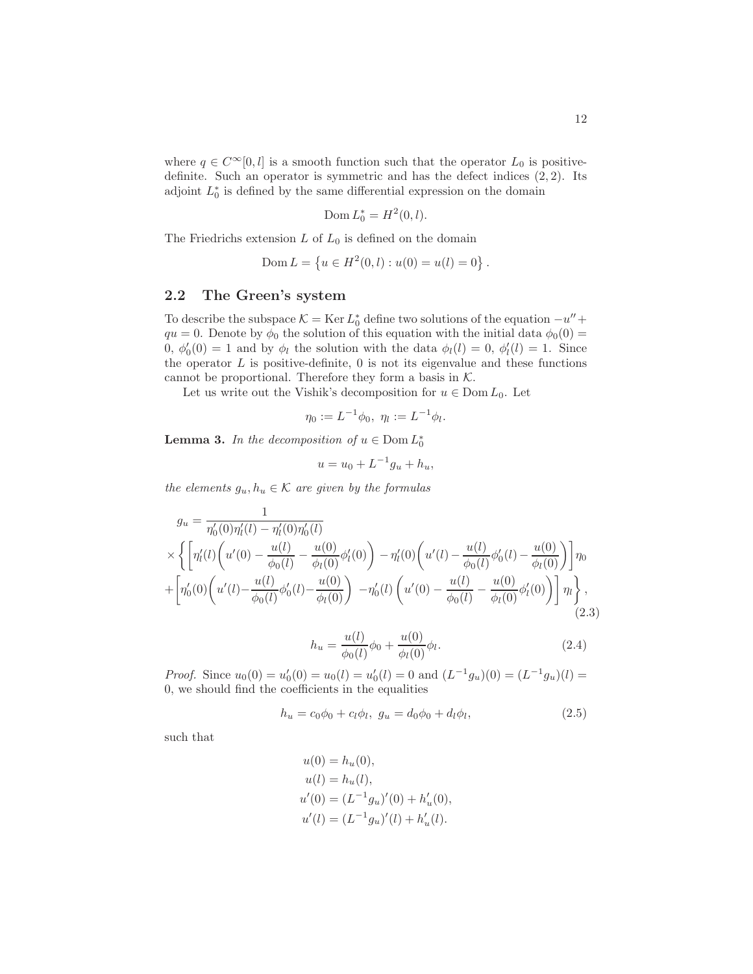where  $q \in C^{\infty}[0, l]$  is a smooth function such that the operator  $L_0$  is positivedefinite. Such an operator is symmetric and has the defect indices  $(2, 2)$ . Its adjoint  $L_0^*$  is defined by the same differential expression on the domain

$$
\mathrm{Dom}\, L_0^*=H^2(0,l).
$$

The Friedrichs extension  $L$  of  $L_0$  is defined on the domain

$$
Dom L = \{ u \in H^2(0, l) : u(0) = u(l) = 0 \}.
$$

# 2.2 The Green's system

To describe the subspace  $K = \text{Ker } L_0^*$  define two solutions of the equation  $-u'' +$  $qu = 0$ . Denote by  $\phi_0$  the solution of this equation with the initial data  $\phi_0(0) =$ 0,  $\phi'_0(0) = 1$  and by  $\phi_l$  the solution with the data  $\phi_l(l) = 0$ ,  $\phi'_l(l) = 1$ . Since the operator  $L$  is positive-definite,  $0$  is not its eigenvalue and these functions cannot be proportional. Therefore they form a basis in  $K$ .

Let us write out the Vishik's decomposition for  $u \in \text{Dom } L_0$ . Let

$$
\eta_0 := L^{-1} \phi_0, \ \eta_l := L^{-1} \phi_l.
$$

**Lemma 3.** In the decomposition of  $u \in \text{Dom } L_0^*$ 

$$
u = u_0 + L^{-1}g_u + h_u,
$$

the elements  $g_u, h_u \in \mathcal{K}$  are given by the formulas

$$
g_u = \frac{1}{\eta'_0(0)\eta'_l(l) - \eta'_l(0)\eta'_0(l)}
$$
  
\n
$$
\times \left\{ \left[ \eta'_l(l) \left( u'(0) - \frac{u(l)}{\phi_0(l)} - \frac{u(0)}{\phi_l(0)} \phi'_l(0) \right) - \eta'_l(0) \left( u'(l) - \frac{u(l)}{\phi_0(l)} \phi'_0(l) - \frac{u(0)}{\phi_l(0)} \right) \right] \eta_0 + \left[ \eta'_0(0) \left( u'(l) - \frac{u(l)}{\phi_0(l)} \phi'_0(l) - \frac{u(0)}{\phi_l(0)} \right) - \eta'_0(l) \left( u'(0) - \frac{u(l)}{\phi_0(l)} - \frac{u(0)}{\phi_l(0)} \phi'_l(0) \right) \right] \eta_l \right\},
$$
\n(2.3)

<span id="page-11-2"></span><span id="page-11-1"></span>
$$
h_u = \frac{u(l)}{\phi_0(l)} \phi_0 + \frac{u(0)}{\phi_l(0)} \phi_l.
$$
 (2.4)

*Proof.* Since  $u_0(0) = u'_0(0) = u_0(l) = u'_0(l) = 0$  and  $(L^{-1}g_u)(0) = (L^{-1}g_u)(l) =$ 0, we should find the coefficients in the equalities

<span id="page-11-0"></span>
$$
h_u = c_0 \phi_0 + c_l \phi_l, \ g_u = d_0 \phi_0 + d_l \phi_l, \tag{2.5}
$$

such that

$$
u(0) = h_u(0),
$$
  
\n
$$
u(l) = h_u(l),
$$
  
\n
$$
u'(0) = (L^{-1}g_u)'(0) + h'_u(0),
$$
  
\n
$$
u'(l) = (L^{-1}g_u)'(l) + h'_u(l).
$$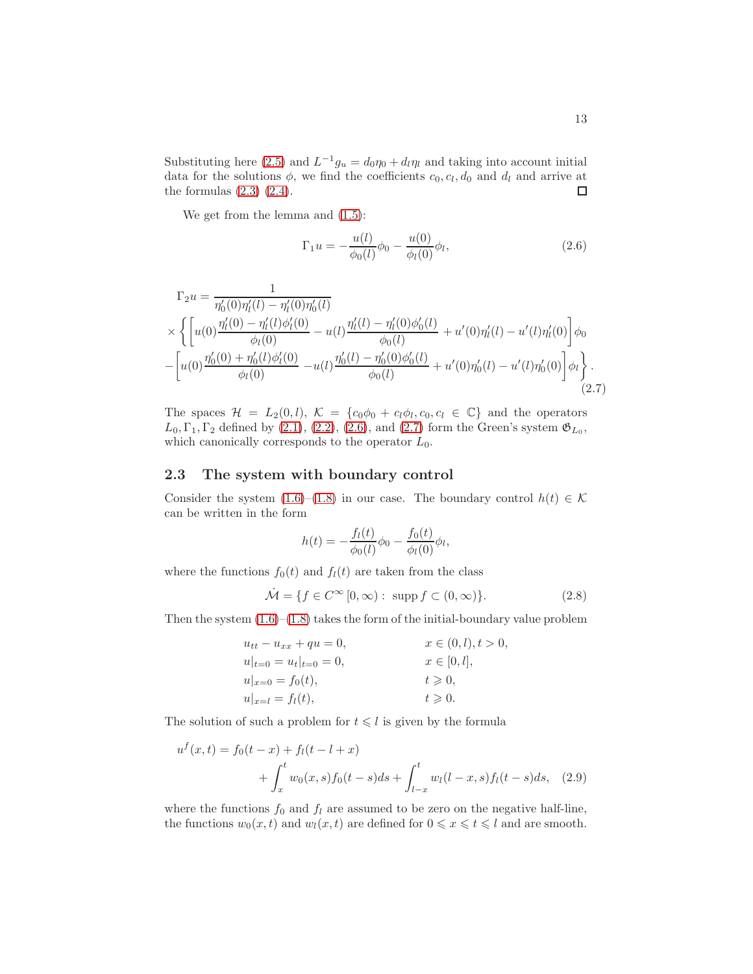Substituting here [\(2.5\)](#page-11-0) and  $L^{-1}g_u = d_0\eta_0 + d_l\eta_l$  and taking into account initial data for the solutions  $\phi$ , we find the coefficients  $c_0, c_l, d_0$  and  $d_l$  and arrive at the formulas  $(2.3)$   $(2.4)$ .  $\Box$ 

We get from the lemma and  $(1.5)$ :

<span id="page-12-1"></span><span id="page-12-0"></span>
$$
\Gamma_1 u = -\frac{u(l)}{\phi_0(l)} \phi_0 - \frac{u(0)}{\phi_l(0)} \phi_l,
$$
\n(2.6)

$$
\Gamma_2 u = \frac{1}{\eta_0'(0)\eta_l'(l) - \eta_l'(0)\eta_0'(l)}
$$
\n
$$
\times \left\{ \left[ u(0) \frac{\eta_l'(0) - \eta_l'(0)\phi_l'(0)}{\phi_l(0)} - u(l) \frac{\eta_l'(l) - \eta_l'(0)\phi_0'(l)}{\phi_0(l)} + u'(0)\eta_l'(l) - u'(l)\eta_l'(0) \right] \phi_0 \right. \left. - \left[ u(0) \frac{\eta_0'(0) + \eta_0'(l)\phi_l'(0)}{\phi_l(0)} - u(l) \frac{\eta_0'(l) - \eta_0'(0)\phi_0'(l)}{\phi_0(l)} + u'(0)\eta_0'(l) - u'(l)\eta_0'(0) \right] \phi_l \right\}.
$$
\n(2.7)

The spaces  $\mathcal{H} = L_2(0, l)$ ,  $\mathcal{K} = \{c_0\phi_0 + c_l\phi_l, c_0, c_l \in \mathbb{C}\}\$  and the operators  $L_0, \Gamma_1, \Gamma_2$  defined by [\(2.1\)](#page-10-0), [\(2.2\)](#page-10-1), [\(2.6\)](#page-12-0), and [\(2.7\)](#page-12-1) form the Green's system  $\mathfrak{G}_{L_0}$ , which canonically corresponds to the operator  $L_0$ .

# 2.3 The system with boundary control

Consider the system [\(1.6\)](#page-2-0)–[\(1.8\)](#page-2-1) in our case. The boundary control  $h(t) \in \mathcal{K}$ can be written in the form

$$
h(t) = -\frac{f_l(t)}{\phi_0(l)}\phi_0 - \frac{f_0(t)}{\phi_l(0)}\phi_l,
$$

where the functions  $f_0(t)$  and  $f_l(t)$  are taken from the class

$$
\dot{\mathcal{M}} = \{ f \in C^{\infty} [0, \infty) : \text{ supp } f \subset (0, \infty) \}. \tag{2.8}
$$

Then the system  $(1.6)$ – $(1.8)$  takes the form of the initial-boundary value problem

<span id="page-12-2"></span>
$$
u_{tt} - u_{xx} + qu = 0, \t x \in (0, l), t > 0,u|_{t=0} = u_t|_{t=0} = 0, \t x \in [0, l],u|_{x=0} = f_0(t), \t t \ge 0,u|_{x=l} = f_l(t), \t t \ge 0.
$$

The solution of such a problem for  $t \leq l$  is given by the formula

$$
u^f(x,t) = f_0(t-x) + f_l(t-l+x)
$$
  
+ 
$$
\int_x^t w_0(x,s)f_0(t-s)ds + \int_{l-x}^t w_l(l-x,s)f_l(t-s)ds, \quad (2.9)
$$

where the functions  $f_0$  and  $f_l$  are assumed to be zero on the negative half-line, the functions  $w_0(x, t)$  and  $w_l(x, t)$  are defined for  $0 \leq x \leq t \leq l$  and are smooth.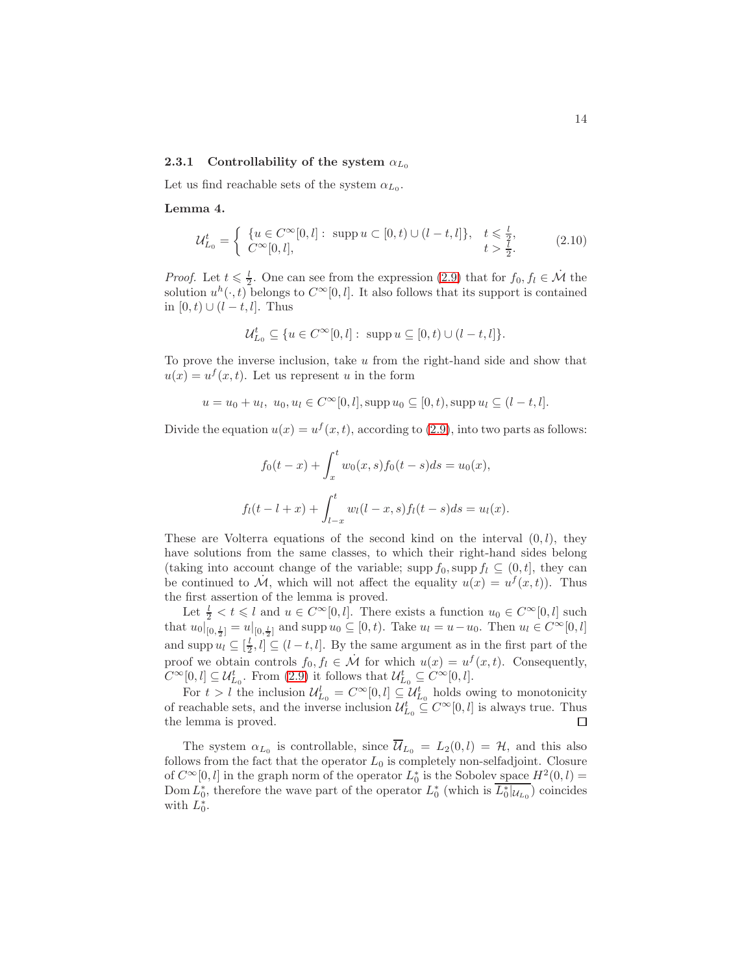### 2.3.1 Controllability of the system  $\alpha_{L_0}$

Let us find reachable sets of the system  $\alpha_{L_0}$ .

Lemma 4.

<span id="page-13-0"></span>
$$
\mathcal{U}_{L_0}^t = \begin{cases} \{u \in C^{\infty}[0, l]: \text{ supp } u \subset [0, t) \cup (l - t, l]\}, & t \leq \frac{l}{2}, \\ C^{\infty}[0, l], & t > \frac{l}{2}. \end{cases}
$$
(2.10)

*Proof.* Let  $t \leq \frac{l}{2}$ . One can see from the expression [\(2.9\)](#page-12-2) that for  $f_0, f_l \in \mathcal{M}$  the solution  $u^h(\cdot, t)$  belongs to  $C^{\infty}[0, l]$ . It also follows that its support is contained in [0, t) ∪ ( $l - t$ ,  $l$ ]. Thus

$$
\mathcal{U}_{L_0}^t \subseteq \{ u \in C^{\infty}[0, l]: \text{ supp } u \subseteq [0, t) \cup (l - t, l] \}.
$$

To prove the inverse inclusion, take u from the right-hand side and show that  $u(x) = u^f(x, t)$ . Let us represent u in the form

$$
u = u_0 + u_l, u_0, u_l \in C^{\infty}[0, l], \text{supp } u_0 \subseteq [0, t), \text{supp } u_l \subseteq (l - t, l].
$$

Divide the equation  $u(x) = u^f(x, t)$ , according to [\(2.9\)](#page-12-2), into two parts as follows:

$$
f_0(t-x) + \int_x^t w_0(x,s) f_0(t-s) ds = u_0(x),
$$
  

$$
f_l(t-l+x) + \int_{l-x}^t w_l(l-x,s) f_l(t-s) ds = u_l(x).
$$

These are Volterra equations of the second kind on the interval  $(0, l)$ , they have solutions from the same classes, to which their right-hand sides belong (taking into account change of the variable; supp  $f_0$ , supp  $f_l \subseteq (0, t]$ , they can be continued to  $\dot{M}$ , which will not affect the equality  $u(x) = u^f(x,t)$ . Thus the first assertion of the lemma is proved.

Let  $\frac{l}{2} < t \leq l$  and  $u \in C^{\infty}[0, l]$ . There exists a function  $u_0 \in C^{\infty}[0, l]$  such that  $u_0|_{[0, \frac{l}{2}]}^{\tilde{}} = u|_{[0, \frac{l}{2}]}$  and supp  $u_0 \subseteq [0, t)$ . Take  $u_l = u - u_0$ . Then  $u_l \in C^{\infty}[0, l]$ and supp  $u_l \subseteq [\frac{l}{2}, l] \subseteq (l - t, l]$ . By the same argument as in the first part of the proof we obtain controls  $f_0, f_l \in \mathcal{M}$  for which  $u(x) = u^f(x, t)$ . Consequently,  $C^{\infty}[0, l] \subseteq \mathcal{U}_{L_0}^t$ . From  $(2.9)$  it follows that  $\mathcal{U}_{L_0}^t \subseteq C^{\infty}[0, l]$ .

For  $t > l$  the inclusion  $\mathcal{U}_{L_0}^l = C^{\infty}[0, l] \subseteq \mathcal{U}_{L_0}^t$  holds owing to monotonicity of reachable sets, and the inverse inclusion  $\mathcal{U}_{L_0}^t \subseteq C^\infty[0, l]$  is always true. Thus the lemma is proved.

The system  $\alpha_{L_0}$  is controllable, since  $\mathcal{U}_{L_0} = L_2(0, l) = \mathcal{H}$ , and this also follows from the fact that the operator  $L_0$  is completely non-selfadjoint. Closure of  $C^{\infty}[0, l]$  in the graph norm of the operator  $L_0^*$  is the Sobolev space  $H^2(0, l) =$ Dom  $L_0^*$ , therefore the wave part of the operator  $L_0^*$  (which is  $\overline{L_0^*|u_{L_0}}$ ) coincides with  $L_0^*$ .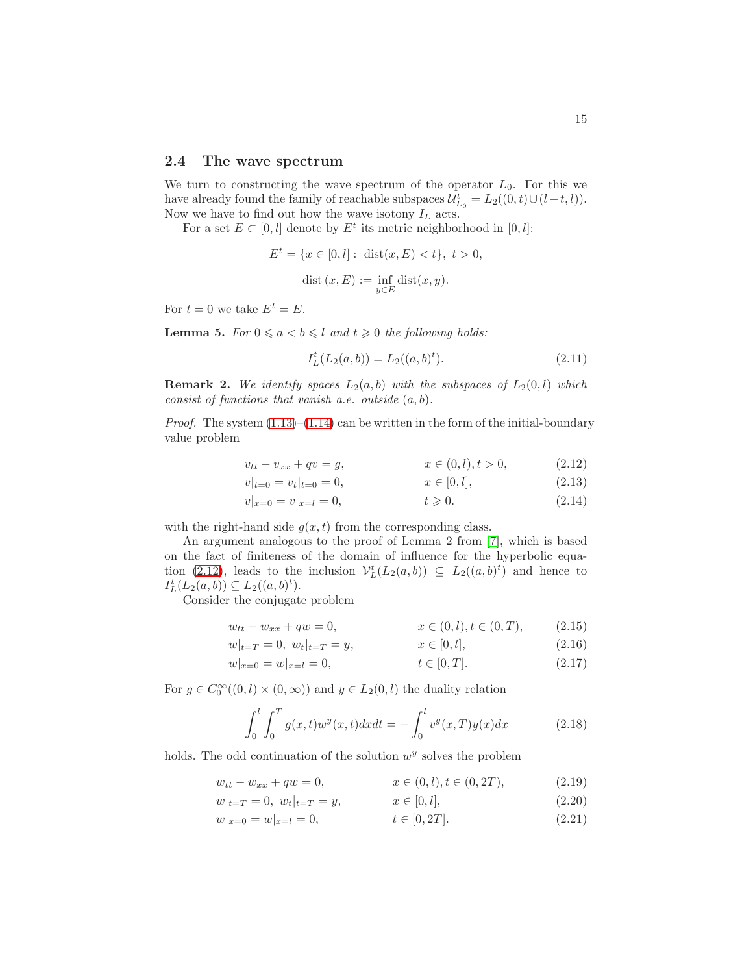#### 2.4 The wave spectrum

We turn to constructing the wave spectrum of the operator  $L_0$ . For this we have already found the family of reachable subspaces  $\mathcal{U}_{L_0}^{t} = L_2((0, t) \cup (l - t, l)).$ Now we have to find out how the wave isotony  $I_L$  acts.

For a set  $E \subset [0, l]$  denote by  $E^t$  its metric neighborhood in  $[0, l]$ :

$$
E^{t} = \{x \in [0, l] : \text{ dist}(x, E) < t\}, \ t > 0,
$$
\n
$$
\text{dist}(x, E) := \inf_{y \in E} \text{dist}(x, y).
$$

For  $t = 0$  we take  $E^t = E$ .

<span id="page-14-1"></span>**Lemma 5.** For  $0 \le a < b \le l$  and  $t \ge 0$  the following holds:

<span id="page-14-0"></span>
$$
I_L^t(L_2(a,b)) = L_2((a,b)^t). \tag{2.11}
$$

**Remark 2.** We identify spaces  $L_2(a, b)$  with the subspaces of  $L_2(0, l)$  which consist of functions that vanish a.e. outside  $(a, b)$ .

*Proof.* The system  $(1.13)$ – $(1.14)$  can be written in the form of the initial-boundary value problem

$$
v_{tt} - v_{xx} + qv = g, \qquad x \in (0, l), t > 0,
$$
 (2.12)

$$
v|_{t=0} = v_t|_{t=0} = 0, \qquad x \in [0, l],
$$
  
\n
$$
v|_{x=0} = v|_{x=l} = 0, \qquad t \ge 0.
$$
  
\n(2.13)

$$
v|_{x=0} = v|_{x=l} = 0, \t t \ge 0. \t (2.14)
$$

with the right-hand side  $g(x, t)$  from the corresponding class.

An argument analogous to the proof of Lemma 2 from [\[7\]](#page-29-0), which is based on the fact of finiteness of the domain of influence for the hyperbolic equa-tion [\(2.12\)](#page-14-0), leads to the inclusion  $\mathcal{V}_L^t(L_2(a, b)) \subseteq L_2((a, b)^t)$  and hence to  $I_L^t(L_2(a, b)) \subseteq L_2((a, b)^t).$ 

Consider the conjugate problem

$$
w_{tt} - w_{xx} + qw = 0, \qquad x \in (0, l), t \in (0, T), \qquad (2.15)
$$

$$
w|_{t=T} = 0, \ w_t|_{t=T} = y, \qquad x \in [0, l], \qquad (2.16)
$$

$$
w|_{x=0} = w|_{x=l} = 0, \qquad t \in [0, T]. \tag{2.17}
$$

For  $g \in C_0^{\infty}((0, l) \times (0, \infty))$  and  $y \in L_2(0, l)$  the duality relation

$$
\int_0^l \int_0^T g(x, t) w^y(x, t) dx dt = - \int_0^l v^g(x, T) y(x) dx \tag{2.18}
$$

holds. The odd continuation of the solution  $w<sup>y</sup>$  solves the problem

$$
w_{tt} - w_{xx} + qw = 0, \qquad x \in (0, l), t \in (0, 2T), \tag{2.19}
$$

$$
w|_{t=T} = 0, w_t|_{t=T} = y, \qquad x \in [0, l], \qquad (2.20)
$$

$$
w|_{x=0} = w|_{x=l} = 0, \qquad t \in [0, 2T]. \tag{2.21}
$$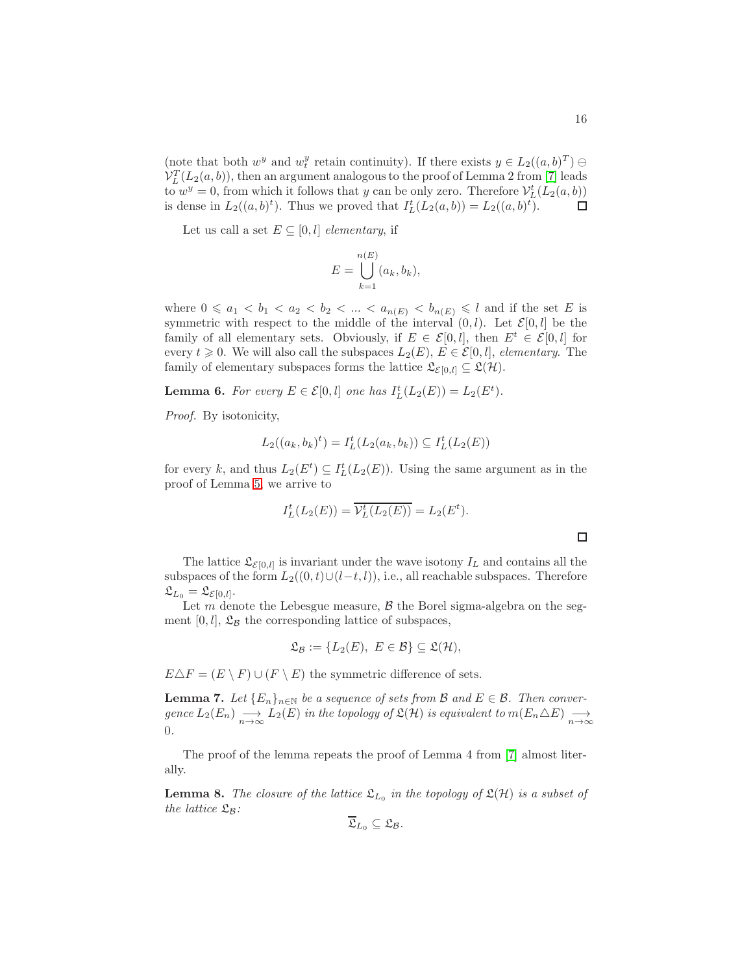(note that both  $w^y$  and  $w_t^y$  retain continuity). If there exists  $y \in L_2((a, b)^T) \ominus$  $\mathcal{V}_L^T(L_2(a, b))$ , then an argument analogous to the proof of Lemma 2 from [\[7\]](#page-29-0) leads to  $w^y = 0$ , from which it follows that y can be only zero. Therefore  $\mathcal{V}_L^t(L_2(a, b))$ is dense in  $L_2((a, b)^t)$ . Thus we proved that  $I_L^t(L_2(a, b)) = L_2((a, b)^t)$ .  $\Box$ 

Let us call a set  $E \subseteq [0, l]$  elementary, if

$$
E = \bigcup_{k=1}^{n(E)} (a_k, b_k),
$$

where  $0 \leq a_1 < b_1 < a_2 < b_2 < \ldots < a_{n(E)} < b_{n(E)} \leq l$  and if the set E is symmetric with respect to the middle of the interval  $(0, l)$ . Let  $\mathcal{E}[0, l]$  be the family of all elementary sets. Obviously, if  $E \in \mathcal{E}[0, l]$ , then  $E^t \in \mathcal{E}[0, l]$  for every  $t \geq 0$ . We will also call the subspaces  $L_2(E)$ ,  $E \in \mathcal{E}[0, l]$ , elementary. The family of elementary subspaces forms the lattice  $\mathfrak{L}_{\mathcal{E}[0,l]} \subseteq \mathfrak{L}(\mathcal{H})$ .

**Lemma 6.** For every  $E \in \mathcal{E}[0, l]$  one has  $I_L^t(L_2(E)) = L_2(E^t)$ .

Proof. By isotonicity,

$$
L_2((a_k, b_k)^t) = I_L^t(L_2(a_k, b_k)) \subseteq I_L^t(L_2(E))
$$

for every k, and thus  $L_2(E^t) \subseteq I_L^t(L_2(E))$ . Using the same argument as in the proof of Lemma [5,](#page-14-1) we arrive to

$$
I_L^t(L_2(E)) = \overline{\mathcal{V}_L^t(L_2(E))} = L_2(E^t).
$$

The lattice  $\mathfrak{L}_{\mathcal{E}[0,l]}$  is invariant under the wave isotony  $I_L$  and contains all the subspaces of the form  $L_2((0, t) \cup (l-t, l))$ , i.e., all reachable subspaces. Therefore  $\mathfrak{L}_{L_0} = \mathfrak{L}_{\mathcal{E}[0,l]}.$ 

Let m denote the Lebesgue measure,  $\beta$  the Borel sigma-algebra on the segment  $[0, l]$ ,  $\mathfrak{L}_{\mathcal{B}}$  the corresponding lattice of subspaces,

$$
\mathfrak{L}_{\mathcal{B}} := \{ L_2(E), E \in \mathcal{B} \} \subseteq \mathfrak{L}(\mathcal{H}),
$$

 $E\Delta F = (E \setminus F) \cup (F \setminus E)$  the symmetric difference of sets.

<span id="page-15-0"></span>**Lemma 7.** Let  ${E_n}_{n \in \mathbb{N}}$  be a sequence of sets from B and  $E \in \mathcal{B}$ . Then conver $gence L_2(E_n) \longrightarrow_{n \to \infty} L_2(E)$  in the topology of  $\mathfrak{L}(\mathcal{H})$  is equivalent to  $m(E_n \triangle E) \longrightarrow_{n \to \infty}$ 0.

The proof of the lemma repeats the proof of Lemma 4 from [\[7\]](#page-29-0) almost literally.

<span id="page-15-1"></span>**Lemma 8.** The closure of the lattice  $\mathfrak{L}_{L_0}$  in the topology of  $\mathfrak{L}(\mathcal{H})$  is a subset of the lattice  $\mathfrak{L}_{\mathcal{B}}$ :

$$
\overline{\mathfrak{L}}_{L_0}\subseteq \mathfrak{L}_{\mathcal{B}}.
$$

 $\Box$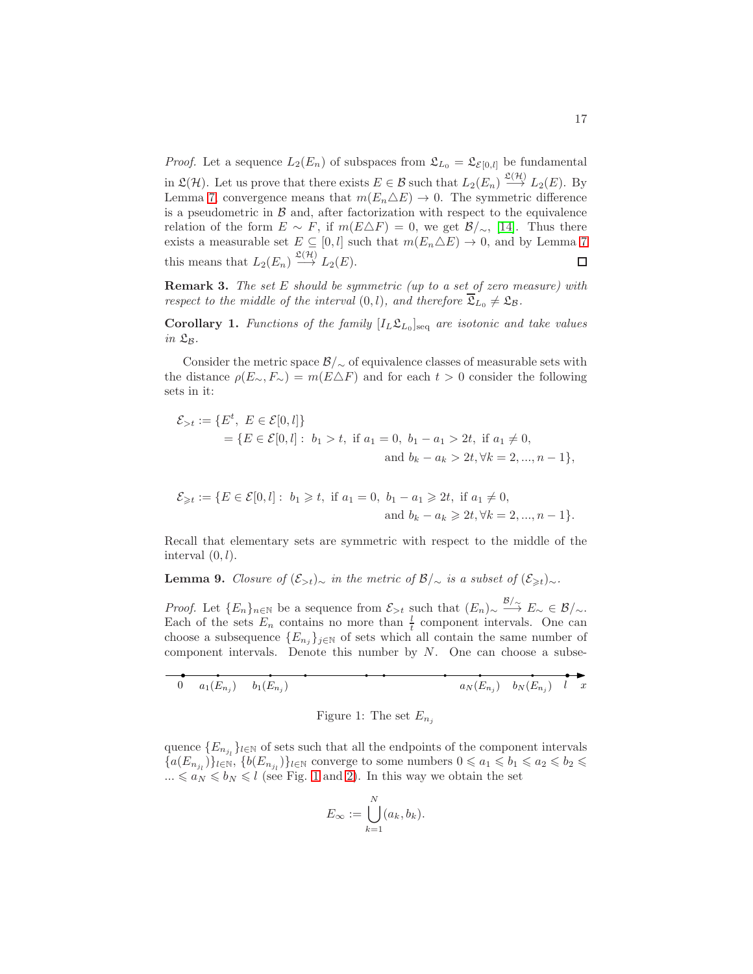*Proof.* Let a sequence  $L_2(E_n)$  of subspaces from  $\mathfrak{L}_{L_0} = \mathfrak{L}_{\mathcal{E}[0,l]}$  be fundamental in  $\mathfrak{L}(\mathcal{H})$ . Let us prove that there exists  $E \in \mathcal{B}$  such that  $L_2(E_n) \stackrel{\mathfrak{L}(\mathcal{H})}{\longrightarrow} L_2(E)$ . By Lemma [7,](#page-15-0) convergence means that  $m(E_n \triangle E) \rightarrow 0$ . The symmetric difference is a pseudometric in  $\beta$  and, after factorization with respect to the equivalence relation of the form  $E \sim F$ , if  $m(E \triangle F) = 0$ , we get  $\mathcal{B}/\sim$ , [\[14\]](#page-29-10). Thus there exists a measurable set  $E \subseteq [0, l]$  such that  $m(E_n \triangle E) \rightarrow 0$ , and by Lemma [7](#page-15-0) this means that  $L_2(E_n) \stackrel{\mathfrak{L}(\mathcal{H})}{\longrightarrow} L_2(E)$ .  $\Box$ 

**Remark 3.** The set E should be symmetric (up to a set of zero measure) with respect to the middle of the interval  $(0, l)$ , and therefore  $\overline{\mathfrak{L}}_{L_0} \neq \mathfrak{L}_{\mathcal{B}}$ .

**Corollary 1.** Functions of the family  $[I_L \mathfrak{L}_{L_0}]_{\text{seq}}$  are isotonic and take values in  $\mathfrak{L}_{\mathcal{B}}$ .

Consider the metric space  $\mathcal{B}/\sim$  of equivalence classes of measurable sets with the distance  $\rho(E_{\sim}, F_{\sim}) = m(E \triangle F)$  and for each  $t > 0$  consider the following sets in it:

$$
\mathcal{E}_{>t} := \{ E^t, E \in \mathcal{E}[0, l] \}
$$
  
=  $\{ E \in \mathcal{E}[0, l] : b_1 > t, \text{ if } a_1 = 0, b_1 - a_1 > 2t, \text{ if } a_1 \neq 0, \text{ and } b_k - a_k > 2t, \forall k = 2, ..., n - 1 \},\$ 

$$
\mathcal{E}_{\geq t} := \{ E \in \mathcal{E}[0, l] : b_1 \geq t, \text{ if } a_1 = 0, b_1 - a_1 \geq 2t, \text{ if } a_1 \neq 0, \\ \text{and } b_k - a_k \geq 2t, \forall k = 2, ..., n - 1 \}.
$$

Recall that elementary sets are symmetric with respect to the middle of the interval  $(0, l)$ .

<span id="page-16-1"></span>**Lemma 9.** Closure of  $(\mathcal{E}_{>t})_{\sim}$  in the metric of  $\mathcal{B}/_{\sim}$  is a subset of  $(\mathcal{E}_{\geq t})_{\sim}$ .

*Proof.* Let  ${E_n}_{n \in \mathbb{N}}$  be a sequence from  $\mathcal{E}_{>t}$  such that  $(E_n) \sim \frac{\mathcal{B}}{\gamma} E_{\sim} \in \mathcal{B}/\sim$ . Each of the sets  $E_n$  contains no more than  $\frac{l}{t}$  component intervals. One can choose a subsequence  ${E_{n_j}}_{j \in \mathbb{N}}$  of sets which all contain the same number of component intervals. Denote this number by  $N$ . One can choose a subse-

$$
\underbrace{\bullet}_{0} \underbrace{\bullet}_{a_1(E_{n_j})} \underbrace{\bullet}_{b_1(E_{n_j})} \underbrace{\bullet}_{s} \underbrace{\bullet}_{a_N(E_{n_j})} \underbrace{\bullet}_{b_N(E_{n_j})} \underbrace{\bullet}_{l} \underbrace{\bullet}_{x}
$$

<span id="page-16-0"></span>Figure 1: The set  $E_{n_i}$ 

quence  ${E_{n_{j_l}}}$ <sub>l∈N</sub> of sets such that all the endpoints of the component intervals  $\{a(E_{n_{j_l}})\}_{l\in\mathbb{N}},$   $\{b(E_{n_{j_l}})\}_{l\in\mathbb{N}}$  converge to some numbers  $0\leqslant a_1\leqslant b_1\leqslant a_2\leqslant b_2\leqslant b_3$  $... \le a_N \le b_N \le l$  (see Fig. [1](#page-16-0) and [2\)](#page-17-0). In this way we obtain the set

$$
E_{\infty} := \bigcup_{k=1}^{N} (a_k, b_k).
$$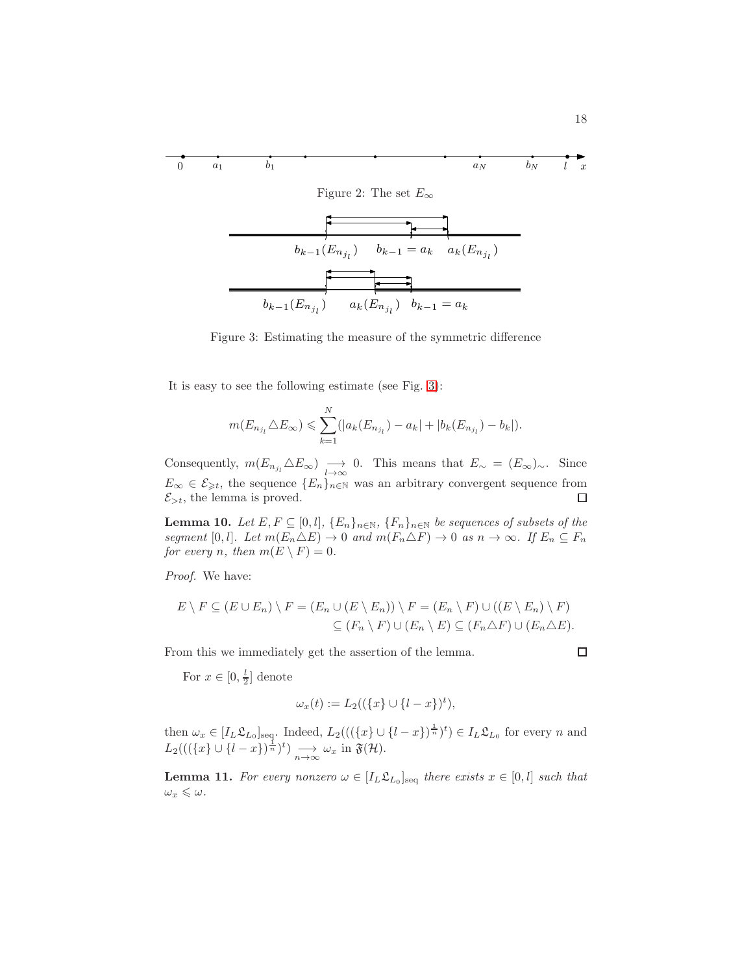<span id="page-17-0"></span>
$$
\begin{array}{c}\n\bullet \\
0 & a_1 \end{array}\n\qquad\n\begin{array}{c}\n\bullet \\
b_1\n\end{array}
$$
\nFigure 2: The set  $E_\infty$ \n
$$
\begin{array}{c}\nb_{k-1}(E_{n_{j_l}}) & b_{k-1} = a_k \quad a_k(E_{n_{j_l}})\n\end{array}
$$
\n
$$
\begin{array}{c}\n\bullet \\
\bullet \\
\bullet \\
\end{array}
$$
\n
$$
\begin{array}{c}\n\bullet \\
\bullet \\
\end{array}
$$
\n
$$
\begin{array}{c}\n\bullet \\
\bullet \\
\end{array}
$$
\n
$$
\begin{array}{c}\n\bullet \\
\bullet \\
\end{array}
$$
\n
$$
\begin{array}{c}\n\bullet \\
\bullet \\
\end{array}
$$
\n
$$
\begin{array}{c}\n\bullet \\
\bullet \\
\end{array}
$$
\n
$$
\begin{array}{c}\n\bullet \\
\bullet \\
\end{array}
$$
\n
$$
\begin{array}{c}\n\bullet \\
\bullet \\
\end{array}
$$
\n
$$
\begin{array}{c}\n\bullet \\
\bullet \\
\end{array}
$$
\n
$$
\begin{array}{c}\n\bullet \\
\bullet \\
\end{array}
$$

<span id="page-17-1"></span>Figure 3: Estimating the measure of the symmetric difference

It is easy to see the following estimate (see Fig. [3\)](#page-17-1):

$$
m(E_{n_{j_l}} \triangle E_{\infty}) \leqslant \sum_{k=1}^{N} (|a_k(E_{n_{j_l}}) - a_k| + |b_k(E_{n_{j_l}}) - b_k|).
$$

Consequently,  $m(E_{n_{j_l}} \triangle E_{\infty}) \longrightarrow 0$ . This means that  $E_{\sim} = (E_{\infty})_{\sim}$ . Since  $E_{\infty} \in \mathcal{E}_{\geq t}$ , the sequence  $\{E_n\}_{n\in\mathbb{N}}$  was an arbitrary convergent sequence from  $\mathcal{E}_{>t}$ , the lemma is proved.  $\Box$ 

<span id="page-17-2"></span>**Lemma 10.** Let  $E, F \subseteq [0, l], \{E_n\}_{n \in \mathbb{N}}, \{F_n\}_{n \in \mathbb{N}}$  be sequences of subsets of the segment [0, l]. Let  $m(E_n \triangle E) \to 0$  and  $m(F_n \triangle F) \to 0$  as  $n \to \infty$ . If  $E_n \subseteq F_n$ for every n, then  $m(E \setminus F) = 0$ .

Proof. We have:

$$
E \setminus F \subseteq (E \cup E_n) \setminus F = (E_n \cup (E \setminus E_n)) \setminus F = (E_n \setminus F) \cup ((E \setminus E_n) \setminus F)
$$
  

$$
\subseteq (F_n \setminus F) \cup (E_n \setminus E) \subseteq (F_n \triangle F) \cup (E_n \triangle E).
$$

From this we immediately get the assertion of the lemma.

For  $x \in [0, \frac{l}{2}]$  denote

$$
\omega_x(t) := L_2((\{x\} \cup \{l-x\})^t),
$$

then  $\omega_x \in [I_L \mathfrak{L}_{L_0}]_{\text{seq}}$ . Indeed,  $L_2(((\{x\} \cup \{l-x\})^{\frac{1}{n}})^t) \in I_L \mathfrak{L}_{L_0}$  for every n and  $L_2(((\lbrace x \rbrace \cup \lbrace l-x \rbrace)^{\frac{1}{n}})^t) \longrightarrow_{n \to \infty} \omega_x$  in  $\mathfrak{F}(\mathcal{H})$ .

<span id="page-17-3"></span>**Lemma 11.** For every nonzero  $\omega \in [I_L \mathfrak{L}_{L_0}]_{\text{seq}}$  there exists  $x \in [0, l]$  such that  $\omega_x \leqslant \omega$  .

□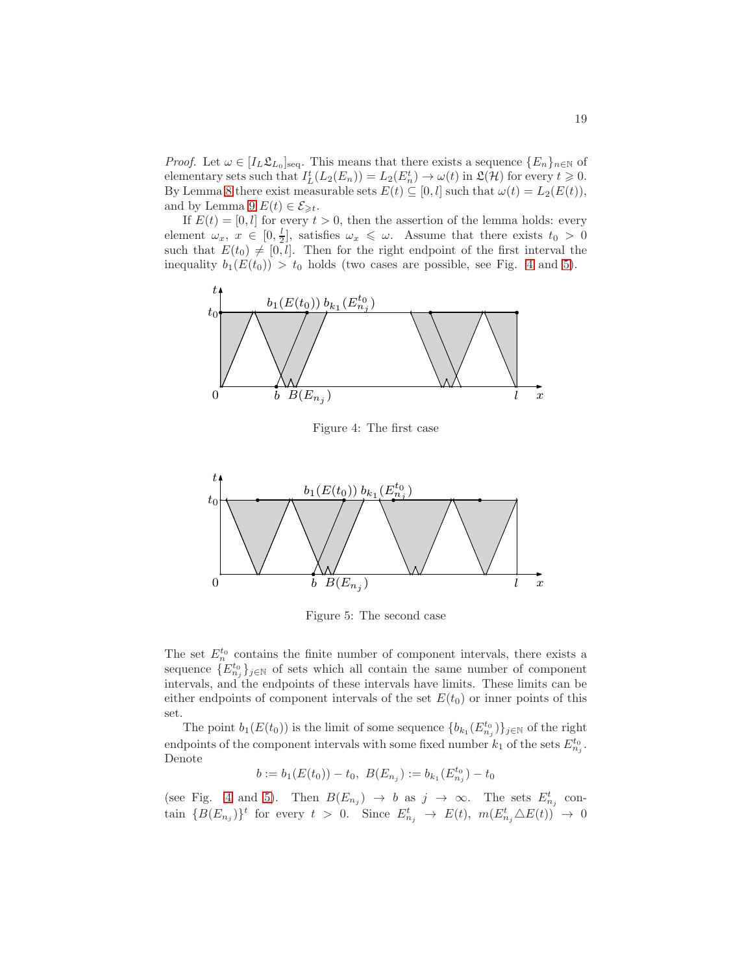*Proof.* Let  $\omega \in [I_L \mathfrak{L}_{L_0}]_{\text{seq}}$ . This means that there exists a sequence  $\{E_n\}_{n\in\mathbb{N}}$  of elementary sets such that  $I_L^t(L_2(E_n)) = L_2(E_n^t) \to \omega(t)$  in  $\mathfrak{L}(\mathcal{H})$  for every  $t \geq 0$ . By Lemma [8](#page-15-1) there exist measurable sets  $E(t) \subseteq [0, l]$  such that  $\omega(t) = L_2(E(t)),$ and by Lemma [9](#page-16-1)  $E(t) \in \mathcal{E}_{\geq t}$ .

If  $E(t) = [0, l]$  for every  $t > 0$ , then the assertion of the lemma holds: every element  $\omega_x, x \in [0, \frac{l}{2}],$  satisfies  $\omega_x \leq \omega$ . Assume that there exists  $t_0 > 0$ such that  $E(t_0) \neq [0, l]$ . Then for the right endpoint of the first interval the inequality  $b_1(E(t_0)) > t_0$  holds (two cases are possible, see Fig. [4](#page-18-0) and [5\)](#page-18-1).



<span id="page-18-0"></span>Figure 4: The first case



<span id="page-18-1"></span>Figure 5: The second case

The set  $E_n^{t_0}$  contains the finite number of component intervals, there exists a sequence  ${E_{n_j}^{t_0}}_{j \in \mathbb{N}}$  of sets which all contain the same number of component intervals, and the endpoints of these intervals have limits. These limits can be either endpoints of component intervals of the set  $E(t_0)$  or inner points of this set.

The point  $b_1(E(t_0))$  is the limit of some sequence  ${b_k}_1(E_{n_j}^{t_0})\}_{j\in\mathbb{N}}$  of the right endpoints of the component intervals with some fixed number  $k_1$  of the sets  $E_{n_j}^{t_0}$ . Denote

$$
b := b_1(E(t_0)) - t_0, \ B(E_{n_j}) := b_{k_1}(E_{n_j}^{t_0}) - t_0
$$

(see Fig. [4](#page-18-0) and [5\)](#page-18-1). Then  $B(E_{n_j}) \to b$  as  $j \to \infty$ . The sets  $E_{n_j}^t$  contain  ${B(E_{n_j})}^t$  for every  $t > 0$ . Since  $E_{n_j}^t \to E(t)$ ,  $m(E_{n_j}^t \triangle E(t)) \to 0$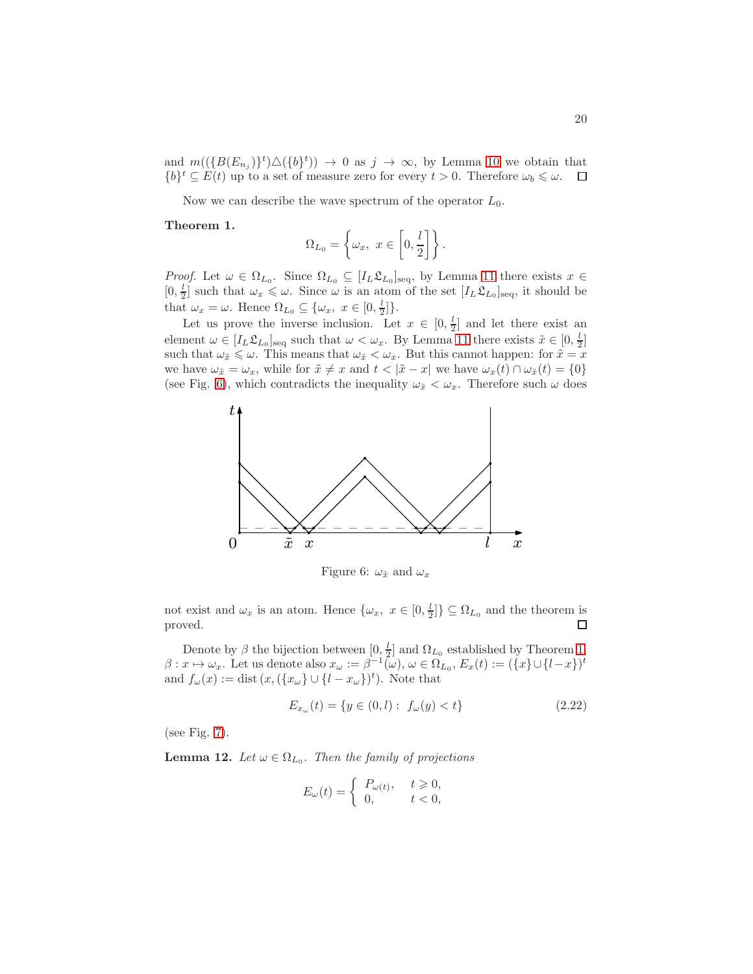and  $m((\{B(E_{n_j})\}^t)\Delta(\{b\}^t)) \to 0$  as  $j \to \infty$ , by Lemma [10](#page-17-2) we obtain that  $\{b\}^t \subseteq E(t)$  up to a set of measure zero for every  $t > 0$ . Therefore  $\omega_b \leq \omega$ .

Now we can describe the wave spectrum of the operator  $L_0$ .

<span id="page-19-1"></span>Theorem 1.

$$
\Omega_{L_0} = \left\{ \omega_x, \ x \in \left[0, \frac{l}{2} \right] \right\}.
$$

*Proof.* Let  $\omega \in \Omega_{L_0}$ . Since  $\Omega_{L_0} \subseteq [I_L \mathfrak{L}_{L_0}]_{\text{seq}}$ , by Lemma [11](#page-17-3) there exists  $x \in$  $[0, \frac{l}{2}]$  such that  $\omega_x \leq \omega$ . Since  $\omega$  is an atom of the set  $[I_L \mathfrak{L}_{L_0}]_{\text{seq}}$ , it should be that  $\omega_x = \omega$ . Hence  $\Omega_{L_0} \subseteq {\omega_x, x \in [0, \frac{l}{2}]}$ .

Let us prove the inverse inclusion. Let  $x \in [0, \frac{l}{2}]$  and let there exist an element  $\omega \in [I_L \mathfrak{L}_{L_0}]_{\text{seq}}$  such that  $\omega < \omega_x$ . By Lemma [11](#page-17-3) there exists  $\tilde{x} \in [0, \frac{l}{2}]$ such that  $\omega_{\tilde{x}} \leq \omega$ . This means that  $\omega_{\tilde{x}} < \omega_x$ . But this cannot happen: for  $\tilde{x} = x$ we have  $\omega_{\tilde{x}} = \omega_x$ , while for  $\tilde{x} \neq x$  and  $t < |\tilde{x} - x|$  we have  $\omega_x(t) \cap \omega_{\tilde{x}}(t) = \{0\}$ (see Fig. [6\)](#page-19-0), which contradicts the inequality  $\omega_{\tilde{x}} < \omega_x$ . Therefore such  $\omega$  does



<span id="page-19-0"></span>Figure 6:  $\omega_{\tilde{x}}$  and  $\omega_x$ 

not exist and  $\omega_x$  is an atom. Hence  $\{\omega_x, x \in [0, \frac{l}{2}]\} \subseteq \Omega_{L_0}$  and the theorem is proved.  $\Box$ 

Denote by  $\beta$  the bijection between  $[0, \frac{l}{2}]$  and  $\Omega_{L_0}$  established by Theorem [1,](#page-19-1)  $\beta: x \mapsto \omega_x$ . Let us denote also  $x_\omega := \beta^{-1}(\omega)$ ,  $\omega \in \Omega_{L_0}, E_x(t) := (\{x\} \cup \{l-x\})^t$ and  $f_{\omega}(x) := \text{dist}(x, (\{x_{\omega}\} \cup \{l - x_{\omega}\})^t)$ . Note that

<span id="page-19-2"></span>
$$
E_{x_{\omega}}(t) = \{ y \in (0, l) : f_{\omega}(y) < t \} \tag{2.22}
$$

(see Fig. [7\)](#page-20-0).

**Lemma 12.** Let  $\omega \in \Omega_{L_0}$ . Then the family of projections

$$
E_{\omega}(t) = \begin{cases} P_{\omega(t)}, & t \geq 0, \\ 0, & t < 0, \end{cases}
$$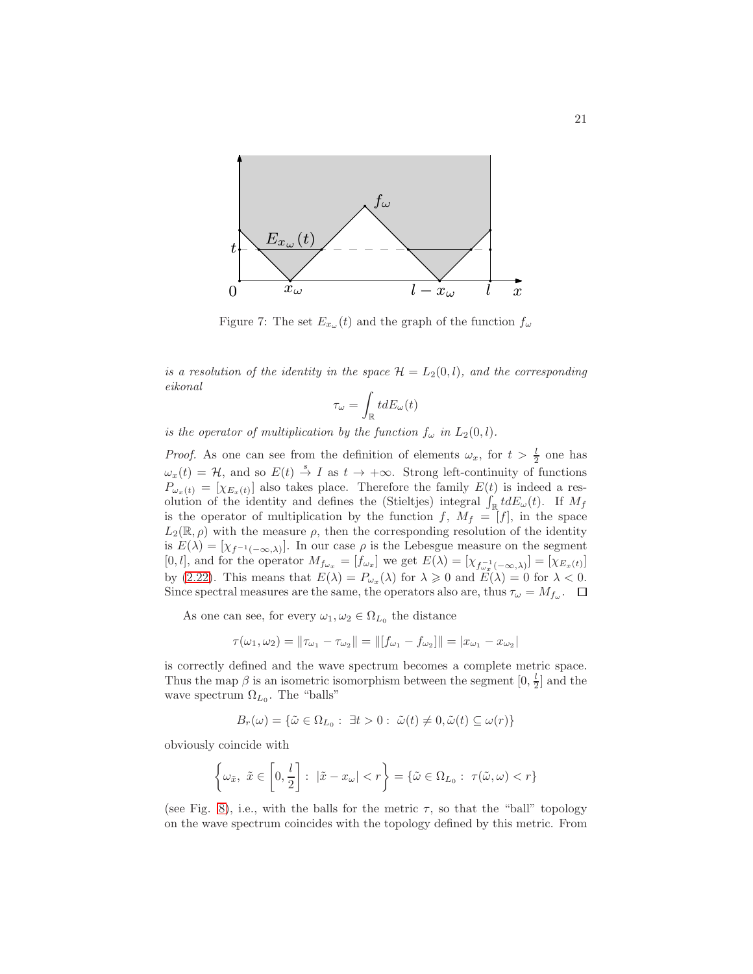

<span id="page-20-0"></span>Figure 7: The set  $E_{x_{\omega}}(t)$  and the graph of the function  $f_{\omega}$ 

is a resolution of the identity in the space  $\mathcal{H} = L_2(0, l)$ , and the corresponding eikonal

$$
\tau_\omega=\int_{\mathbb{R}}tdE_\omega(t)
$$

is the operator of multiplication by the function  $f_{\omega}$  in  $L_2(0, l)$ .

*Proof.* As one can see from the definition of elements  $\omega_x$ , for  $t > \frac{l}{2}$  one has  $\omega_x(t) = \mathcal{H}$ , and so  $E(t) \stackrel{s}{\rightarrow} I$  as  $t \rightarrow +\infty$ . Strong left-continuity of functions  $P_{\omega_x(t)} = [\chi_{E_x(t)}]$  also takes place. Therefore the family  $E(t)$  is indeed a resolution of the identity and defines the (Stieltjes) integral  $\int_{\mathbb{R}} t dE_{\omega}(t)$ . If  $M_f$ is the operator of multiplication by the function f,  $M_f = [f]$ , in the space  $L_2(\mathbb{R}, \rho)$  with the measure  $\rho$ , then the corresponding resolution of the identity is  $E(\lambda) = [\chi_{f^{-1}(-\infty,\lambda)}].$  In our case  $\rho$  is the Lebesgue measure on the segment [0, l], and for the operator  $M_{f_{\omega_x}} = [f_{\omega_x}]$  we get  $E(\lambda) = [\chi_{f_{\omega_x}^{-1}(-\infty,\lambda)}] = [\chi_{E_x(t)}]$ by [\(2.22\)](#page-19-2). This means that  $E(\lambda) = P_{\omega_x}(\lambda)$  for  $\lambda \geq 0$  and  $E(\lambda) = 0$  for  $\lambda < 0$ . Since spectral measures are the same, the operators also are, thus  $\tau_{\omega} = M_{f_{\omega}}$ .

As one can see, for every  $\omega_1, \omega_2 \in \Omega_{L_0}$  the distance

$$
\tau(\omega_1, \omega_2) = ||\tau_{\omega_1} - \tau_{\omega_2}|| = ||[f_{\omega_1} - f_{\omega_2}]]|| = |x_{\omega_1} - x_{\omega_2}||
$$

|

is correctly defined and the wave spectrum becomes a complete metric space. Thus the map  $\beta$  is an isometric isomorphism between the segment  $[0, \frac{l}{2}]$  and the wave spectrum  $\Omega_{L_0}$ . The "balls"

$$
B_r(\omega) = \{ \tilde{\omega} \in \Omega_{L_0} : \exists t > 0 : \tilde{\omega}(t) \neq 0, \tilde{\omega}(t) \subseteq \omega(r) \}
$$

obviously coincide with

$$
\left\{\omega_{\tilde{x}},\ \tilde{x}\in\left[0,\frac{l}{2}\right]:\ |\tilde{x}-x_{\omega}|
$$

(see Fig. [8\)](#page-21-0), i.e., with the balls for the metric  $\tau$ , so that the "ball" topology on the wave spectrum coincides with the topology defined by this metric. From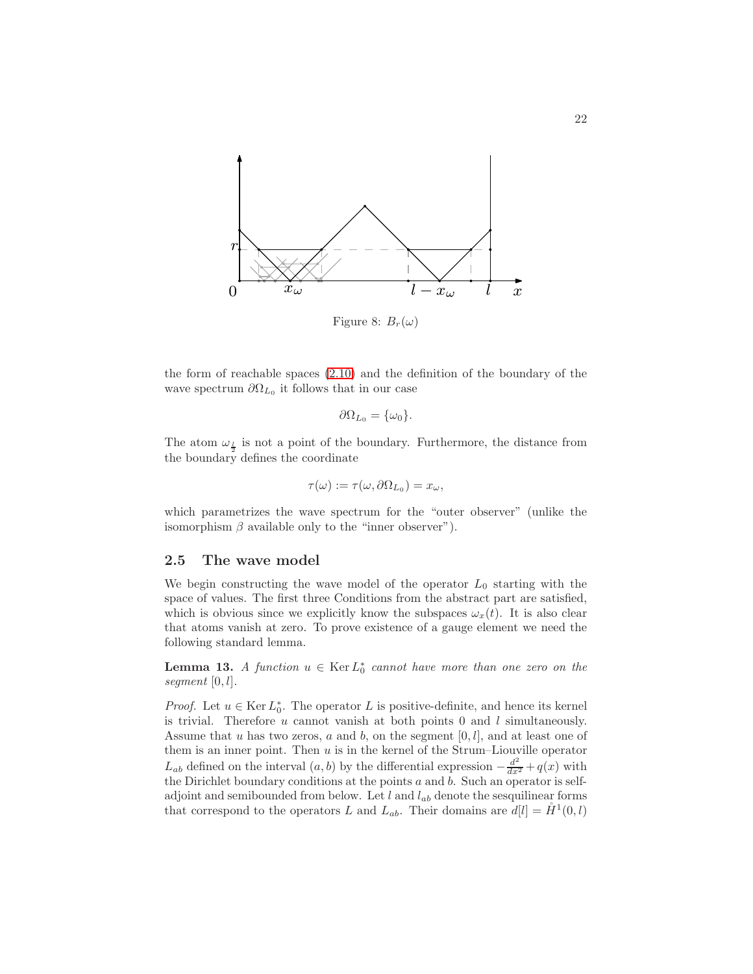

<span id="page-21-0"></span>Figure 8:  $B_r(\omega)$ 

the form of reachable spaces [\(2.10\)](#page-13-0) and the definition of the boundary of the wave spectrum  $\partial \Omega_{L_0}$  it follows that in our case

$$
\partial\Omega_{L_0} = \{\omega_0\}.
$$

The atom  $\omega_{\frac{l}{2}}$  is not a point of the boundary. Furthermore, the distance from the boundary defines the coordinate

$$
\tau(\omega) := \tau(\omega, \partial \Omega_{L_0}) = x_{\omega},
$$

which parametrizes the wave spectrum for the "outer observer" (unlike the isomorphism  $\beta$  available only to the "inner observer").

# 2.5 The wave model

We begin constructing the wave model of the operator  $L_0$  starting with the space of values. The first three Conditions from the abstract part are satisfied, which is obvious since we explicitly know the subspaces  $\omega_x(t)$ . It is also clear that atoms vanish at zero. To prove existence of a gauge element we need the following standard lemma.

<span id="page-21-1"></span>**Lemma 13.** A function  $u \in \text{Ker } L_0^*$  cannot have more than one zero on the segment  $[0, l]$ .

*Proof.* Let  $u \in \text{Ker } L_0^*$ . The operator L is positive-definite, and hence its kernel is trivial. Therefore u cannot vanish at both points 0 and l simultaneously. Assume that u has two zeros, a and b, on the segment  $[0, l]$ , and at least one of them is an inner point. Then  $u$  is in the kernel of the Strum–Liouville operator  $L_{ab}$  defined on the interval  $(a, b)$  by the differential expression  $-\frac{d^2}{dx^2} + q(x)$  with the Dirichlet boundary conditions at the points  $a$  and  $b$ . Such an operator is selfadjoint and semibounded from below. Let  $l$  and  $l_{ab}$  denote the sesquilinear forms that correspond to the operators L and  $L_{ab}$ . Their domains are  $d[l] = \mathring{H}^1(0, l)$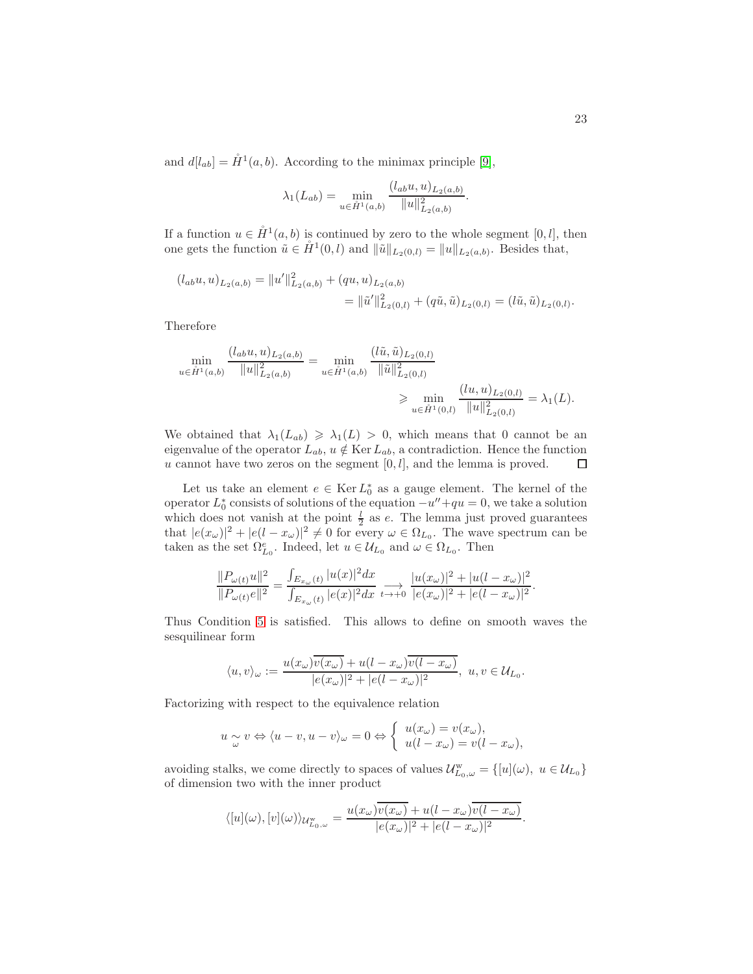and  $d[l_{ab}] = \mathring{H}^1(a, b)$ . According to the minimax principle [\[9\]](#page-29-2),

$$
\lambda_1(L_{ab}) = \min_{u \in \tilde{H}^1(a,b)} \frac{(l_{ab}u, u)_{L_2(a,b)}}{||u||^2_{L_2(a,b)}}.
$$

If a function  $u \in \mathring{H}^1(a, b)$  is continued by zero to the whole segment [0, *l*], then one gets the function  $\tilde{u} \in \mathring{H}^1(0, l)$  and  $\|\tilde{u}\|_{L_2(0, l)} = \|u\|_{L_2(a, b)}$ . Besides that,

$$
(l_{ab}u, u)_{L_2(a,b)} = ||u'||_{L_2(a,b)}^2 + (qu, u)_{L_2(a,b)}= ||\tilde{u}'||_{L_2(0,l)}^2 + (q\tilde{u}, \tilde{u})_{L_2(0,l)} = (l\tilde{u}, \tilde{u})_{L_2(0,l)}.
$$

Therefore

$$
\min_{u \in \hat{H}^1(a,b)} \frac{(l_{ab}u, u)_{L_2(a,b)}}{\|u\|_{L_2(a,b)}^2} = \min_{u \in \hat{H}^1(a,b)} \frac{(\tilde{l}\tilde{u}, \tilde{u})_{L_2(0,l)}}{\|\tilde{u}\|_{L_2(0,l)}^2} \ge \min_{u \in \tilde{H}^1(0,l)} \frac{(lu, u)_{L_2(0,l)}}{\|u\|_{L_2(0,l)}^2} = \lambda_1(L).
$$

We obtained that  $\lambda_1(L_{ab}) \geq \lambda_1(L) > 0$ , which means that 0 cannot be an eigenvalue of the operator  $L_{ab}$ ,  $u \notin \text{Ker } L_{ab}$ , a contradiction. Hence the function u cannot have two zeros on the segment  $[0, l]$ , and the lemma is proved.  $\Box$ 

Let us take an element  $e \in \text{Ker } L_0^*$  as a gauge element. The kernel of the operator  $L_0^*$  consists of solutions of the equation  $-u''+qu=0$ , we take a solution which does not vanish at the point  $\frac{l}{2}$  as e. The lemma just proved guarantees that  $|e(x_{\omega})|^2 + |e(l - x_{\omega})|^2 \neq 0$  for every  $\omega \in \Omega_{L_0}$ . The wave spectrum can be taken as the set  $\Omega_{L_0}^e$ . Indeed, let  $u \in \mathcal{U}_{L_0}$  and  $\omega \in \Omega_{L_0}$ . Then

$$
\frac{||P_{\omega(t)}u||^2}{||P_{\omega(t)}e||^2} = \frac{\int_{E_{x_{\omega}}(t)} |u(x)|^2 dx}{\int_{E_{x_{\omega}}(t)} |e(x)|^2 dx} \xrightarrow[t \to +0]{} \frac{|u(x_{\omega})|^2 + |u(l - x_{\omega})|^2}{|e(x_{\omega})|^2 + |e(l - x_{\omega})|^2}
$$

Thus Condition [5](#page-8-1) is satisfied. This allows to define on smooth waves the sesquilinear form

$$
\langle u, v \rangle_{\omega} := \frac{u(x_{\omega}) \overline{v(x_{\omega})} + u(l - x_{\omega}) \overline{v(l - x_{\omega})}}{|e(x_{\omega})|^2 + |e(l - x_{\omega})|^2}, \ u, v \in \mathcal{U}_{L_0}.
$$

Factorizing with respect to the equivalence relation

$$
u \underset{\omega}{\sim} v \Leftrightarrow \langle u - v, u - v \rangle_{\omega} = 0 \Leftrightarrow \begin{cases} u(x_{\omega}) = v(x_{\omega}), \\ u(l - x_{\omega}) = v(l - x_{\omega}), \end{cases}
$$

avoiding stalks, we come directly to spaces of values  $\mathcal{U}_{L_0,\omega}^{\mathbf{w}} = \{ [u](\omega), u \in \mathcal{U}_{L_0} \}$ of dimension two with the inner product

$$
\langle [u](\omega), [v](\omega) \rangle_{\mathcal{U}_{L_0,\omega}^{\mathrm{w}}} = \frac{u(x_{\omega}) \overline{v(x_{\omega})} + u(l - x_{\omega}) \overline{v(l - x_{\omega})}}{|e(x_{\omega})|^2 + |e(l - x_{\omega})|^2}.
$$

.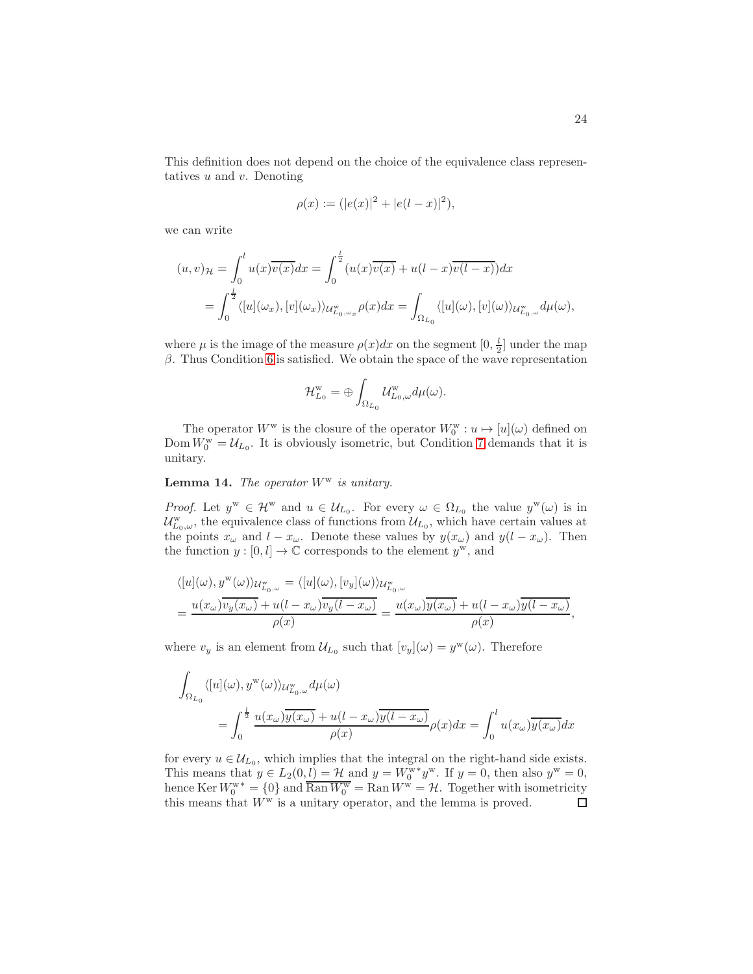This definition does not depend on the choice of the equivalence class representatives  $u$  and  $v$ . Denoting

$$
\rho(x) := (|e(x)|^2 + |e(l - x)|^2),
$$

we can write

$$
(u,v)_{\mathcal{H}} = \int_0^l u(x)\overline{v(x)}dx = \int_0^{\frac{l}{2}} (u(x)\overline{v(x)} + u(l-x)\overline{v(l-x)})dx
$$
  
= 
$$
\int_0^{\frac{l}{2}} \langle [u](\omega_x), [v](\omega_x) \rangle_{\mathcal{U}_{L_0,\omega_x}^w} \rho(x)dx = \int_{\Omega_{L_0}} \langle [u](\omega), [v](\omega) \rangle_{\mathcal{U}_{L_0,\omega}^w} d\mu(\omega),
$$

where  $\mu$  is the image of the measure  $\rho(x)dx$  on the segment  $[0, \frac{l}{2}]$  under the map  $β$ . Thus Condition [6](#page-9-1) is satisfied. We obtain the space of the wave representation

$$
\mathcal{H}^{\rm w}_{L_0}=\oplus \int_{\Omega_{L_0}}\mathcal{U}^{\rm w}_{L_0,\omega}d\mu(\omega).
$$

The operator  $W^{\mathbf{w}}$  is the closure of the operator  $W^{\mathbf{w}}_0: u \mapsto [u](\omega)$  defined on Dom  $W_0^{\text{w}} = \mathcal{U}_{L_0}$ . It is obviously isometric, but Condition [7](#page-9-2) demands that it is unitary.

**Lemma 14.** The operator  $W^w$  is unitary.

*Proof.* Let  $y^w \in \mathcal{H}^w$  and  $u \in \mathcal{U}_{L_0}$ . For every  $\omega \in \Omega_{L_0}$  the value  $y^w(\omega)$  is in  $\mathcal{U}^{\text{w}}_{L_0,\omega}$ , the equivalence class of functions from  $\mathcal{U}_{L_0}$ , which have certain values at the points  $x_{\omega}$  and  $l - x_{\omega}$ . Denote these values by  $y(x_{\omega})$  and  $y(l - x_{\omega})$ . Then the function  $y : [0, l] \to \mathbb{C}$  corresponds to the element  $y^w$ , and

$$
\langle [u](\omega), y^{\mathbf{w}}(\omega) \rangle_{\mathcal{U}_{L_0,\omega}^{\mathbf{w}}} = \langle [u](\omega), [v_y](\omega) \rangle_{\mathcal{U}_{L_0,\omega}^{\mathbf{w}}}
$$
  
= 
$$
\frac{u(x_{\omega}) \overline{v_y(x_{\omega})} + u(l - x_{\omega}) \overline{v_y(l - x_{\omega})}}{\rho(x)} = \frac{u(x_{\omega}) \overline{y(x_{\omega})} + u(l - x_{\omega}) \overline{y(l - x_{\omega})}}{\rho(x)},
$$

where  $v_y$  is an element from  $\mathcal{U}_{L_0}$  such that  $[v_y](\omega) = y^{\mathbf{w}}(\omega)$ . Therefore

$$
\int_{\Omega_{L_0}} \langle [u](\omega), y^{\mathbf{w}}(\omega) \rangle_{\mathcal{U}_{L_0,\omega}^{\mathbf{w}}} d\mu(\omega)
$$
\n
$$
= \int_0^{\frac{t}{2}} \frac{u(x_\omega) \overline{y(x_\omega)} + u(l - x_\omega) \overline{y(l - x_\omega)}}{\rho(x)} \rho(x) dx = \int_0^l u(x_\omega) \overline{y(x_\omega)} dx
$$

for every  $u \in \mathcal{U}_{L_0}$ , which implies that the integral on the right-hand side exists. This means that  $y \in L_2(0, l) = \mathcal{H}$  and  $y = W_0^{w*} y^w$ . If  $y = 0$ , then also  $y^w = 0$ , hence Ker  $W_0^{w^*} = \{0\}$  and  $\overline{\text{Ran }W_0^w} = \text{Ran }W^w = \mathcal{H}$ . Together with isometricity this means that  $W^w$  is a unitary operator, and the lemma is proved.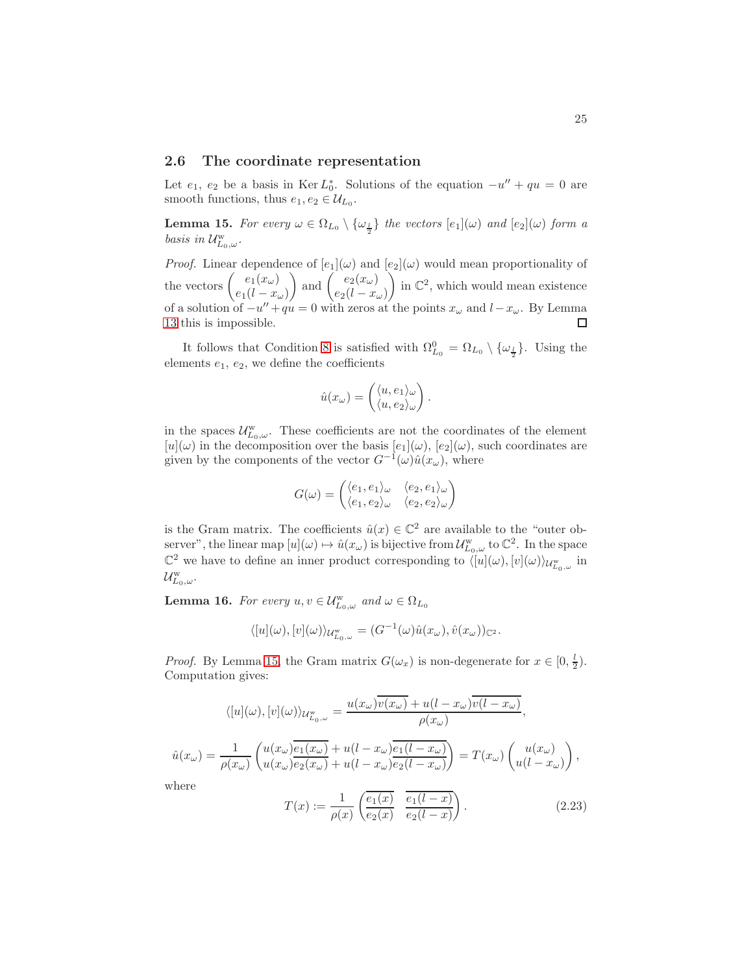# 2.6 The coordinate representation

Let  $e_1, e_2$  be a basis in Ker  $L_0^*$ . Solutions of the equation  $-u'' + qu = 0$  are smooth functions, thus  $e_1, e_2 \in \mathcal{U}_{L_0}$ .

<span id="page-24-0"></span>**Lemma 15.** For every  $\omega \in \Omega_{L_0} \setminus {\{\omega_{\frac{1}{2}}\}}$  the vectors  $[e_1](\omega)$  and  $[e_2](\omega)$  form a basis in  $\mathcal{U}^{\rm w}_{L_0,\omega}.$ 

*Proof.* Linear dependence of  $[e_1](\omega)$  and  $[e_2](\omega)$  would mean proportionality of the vectors  $\begin{pmatrix} e_1(x_\omega) \\ e_2(x_\omega) \end{pmatrix}$ ) and  $\left(\begin{array}{c} e_2(x_\omega) \\ 0 \end{array}\right)$  $\int$  in  $\mathbb{C}^2$ , which would mean existence  $e_1(l - x_\omega)$  $e_2(l - x_\omega)$ of a solution of  $-u'' + qu = 0$  with zeros at the points  $x_{\omega}$  and  $l - x_{\omega}$ . By Lemma [13](#page-21-1) this is impossible. □

It follows that Condition [8](#page-9-3) is satisfied with  $\Omega_{L_0}^0 = \Omega_{L_0} \setminus {\omega_{\frac{l}{2}}}$ . Using the elements  $e_1, e_2$ , we define the coefficients

$$
\hat{u}(x_{\omega}) = \begin{pmatrix} \langle u, e_1 \rangle_{\omega} \\ \langle u, e_2 \rangle_{\omega} \end{pmatrix}.
$$

in the spaces  $\mathcal{U}_{L_0,\omega}^{\text{w}}$ . These coefficients are not the coordinates of the element  $[u](\omega)$  in the decomposition over the basis  $[e_1](\omega)$ ,  $[e_2](\omega)$ , such coordinates are given by the components of the vector  $G^{-1}(\omega)\hat{u}(x_{\omega})$ , where

$$
G(\omega) = \begin{pmatrix} \langle e_1, e_1 \rangle_{\omega} & \langle e_2, e_1 \rangle_{\omega} \\ \langle e_1, e_2 \rangle_{\omega} & \langle e_2, e_2 \rangle_{\omega} \end{pmatrix}
$$

is the Gram matrix. The coefficients  $\hat{u}(x) \in \mathbb{C}^2$  are available to the "outer observer", the linear map  $[u](\omega) \mapsto \hat{u}(x_{\omega})$  is bijective from  $\mathcal{U}_{L_0,\omega}^{\mathbf{w}}$  to  $\mathbb{C}^2$ . In the space  $\mathbb{C}^2$  we have to define an inner product corresponding to  $\langle [u](\omega), [v](\omega) \rangle_{\mathcal{U}_{L_0,\omega}^w}$  in  $\mathcal{U}^{\rm w}_{L_0,\omega}.$ 

**Lemma 16.** For every  $u, v \in \mathcal{U}_{L_0,\omega}^{\mathbf{w}}$  and  $\omega \in \Omega_{L_0}$ 

$$
\langle [u](\omega), [v](\omega) \rangle_{\mathcal{U}_{L_0,\omega}^w} = (G^{-1}(\omega)\hat{u}(x_\omega), \hat{v}(x_\omega))_{\mathbb{C}^2}.
$$

*Proof.* By Lemma [15,](#page-24-0) the Gram matrix  $G(\omega_x)$  is non-degenerate for  $x \in [0, \frac{l}{2})$ . Computation gives:

$$
\langle [u](\omega), [v](\omega) \rangle_{\mathcal{U}_{L_0,\omega}^w} = \frac{u(x_\omega)\overline{v(x_\omega)} + u(l - x_\omega)\overline{v(l - x_\omega)}}{\rho(x_\omega)},
$$
  

$$
\hat{u}(x_\omega) = \frac{1}{\rho(x_\omega)} \left( \frac{u(x_\omega)\overline{e_1(x_\omega)} + u(l - x_\omega)\overline{e_1(l - x_\omega)}}{u(l - x_\omega)\overline{e_2(l - x_\omega)}} \right) = T(x_\omega) \left( \frac{u(x_\omega)}{u(l - x_\omega)} \right),
$$

where

<span id="page-24-1"></span>
$$
T(x) := \frac{1}{\rho(x)} \left( \frac{\overline{e_1(x)}}{e_2(x)} \frac{\overline{e_1(l-x)}}{e_2(l-x)} \right).
$$
 (2.23)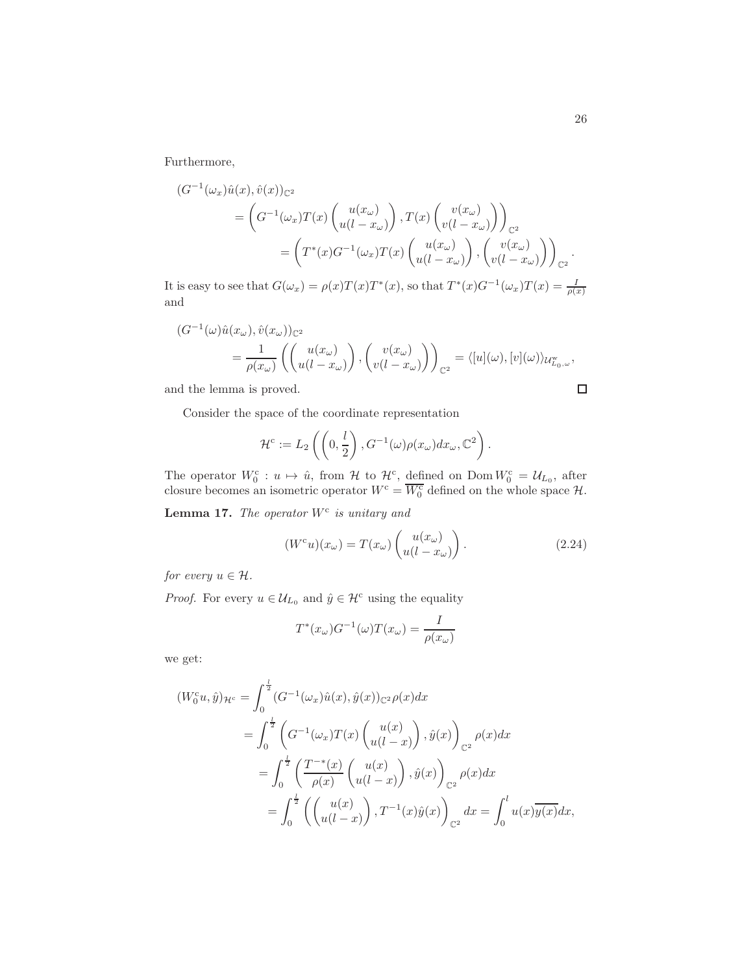Furthermore,

$$
(G^{-1}(\omega_x)\hat{u}(x), \hat{v}(x))_{\mathbb{C}^2}
$$
  
=  $\left(G^{-1}(\omega_x)T(x)\begin{pmatrix}u(x_{\omega})\\u(l-x_{\omega})\end{pmatrix}, T(x)\begin{pmatrix}v(x_{\omega})\\v(l-x_{\omega})\end{pmatrix}\right)_{\mathbb{C}^2}$   
=  $\left(T^*(x)G^{-1}(\omega_x)T(x)\begin{pmatrix}u(x_{\omega})\\u(l-x_{\omega})\end{pmatrix}, \begin{pmatrix}v(x_{\omega})\\v(l-x_{\omega})\end{pmatrix}\right)_{\mathbb{C}^2}.$ 

It is easy to see that  $G(\omega_x) = \rho(x)T(x)T^*(x)$ , so that  $T^*(x)G^{-1}(\omega_x)T(x) = \frac{I}{\rho(x)}$ and

$$
(G^{-1}(\omega)\hat{u}(x_{\omega}), \hat{v}(x_{\omega}))_{\mathbb{C}^2}
$$
  
=  $\frac{1}{\rho(x_{\omega})}\left(\begin{pmatrix}u(x_{\omega})\\u(l-x_{\omega})\end{pmatrix}, \begin{pmatrix}v(x_{\omega})\\v(l-x_{\omega})\end{pmatrix}\right)_{\mathbb{C}^2} = \langle [u](\omega), [v](\omega)\rangle_{\mathcal{U}_{L_0,\omega}^{\mathbf{w}}},$ 

and the lemma is proved.

Consider the space of the coordinate representation

$$
\mathcal{H}^c := L_2\left(\left(0, \frac{l}{2}\right), G^{-1}(\omega)\rho(x_\omega)dx_\omega, \mathbb{C}^2\right).
$$

The operator  $W_0^c: u \mapsto \hat{u}$ , from  $\mathcal{H}$  to  $\mathcal{H}^c$ , defined on Dom  $W_0^c = \mathcal{U}_{L_0}$ , after closure becomes an isometric operator  $W^c = \overline{W_0^c}$  defined on the whole space  $\mathcal{H}$ .

**Lemma 17.** The operator  $W^c$  is unitary and

<span id="page-25-0"></span>
$$
(Wcu)(x\omega) = T(x\omega) \begin{pmatrix} u(x_{\omega}) \\ u(l - x_{\omega}) \end{pmatrix}.
$$
 (2.24)

for every  $u \in \mathcal{H}$ .

*Proof.* For every  $u \in \mathcal{U}_{L_0}$  and  $\hat{y} \in \mathcal{H}^c$  using the equality

$$
T^*(x_{\omega})G^{-1}(\omega)T(x_{\omega}) = \frac{I}{\rho(x_{\omega})}
$$

we get:

$$
(W_0^c u, \hat{y})_{\mathcal{H}^c} = \int_0^{\frac{1}{2}} (G^{-1}(\omega_x) \hat{u}(x), \hat{y}(x))_{\mathbb{C}^2} \rho(x) dx
$$
  
\n
$$
= \int_0^{\frac{1}{2}} \left( G^{-1}(\omega_x) T(x) \begin{pmatrix} u(x) \\ u(l-x) \end{pmatrix}, \hat{y}(x) \right)_{\mathbb{C}^2} \rho(x) dx
$$
  
\n
$$
= \int_0^{\frac{1}{2}} \left( \frac{T^{-*}(x)}{\rho(x)} \begin{pmatrix} u(x) \\ u(l-x) \end{pmatrix}, \hat{y}(x) \right)_{\mathbb{C}^2} \rho(x) dx
$$
  
\n
$$
= \int_0^{\frac{1}{2}} \left( \begin{pmatrix} u(x) \\ u(l-x) \end{pmatrix}, T^{-1}(x) \hat{y}(x) \right)_{\mathbb{C}^2} dx = \int_0^l u(x) \overline{y(x)} dx,
$$

 $\Box$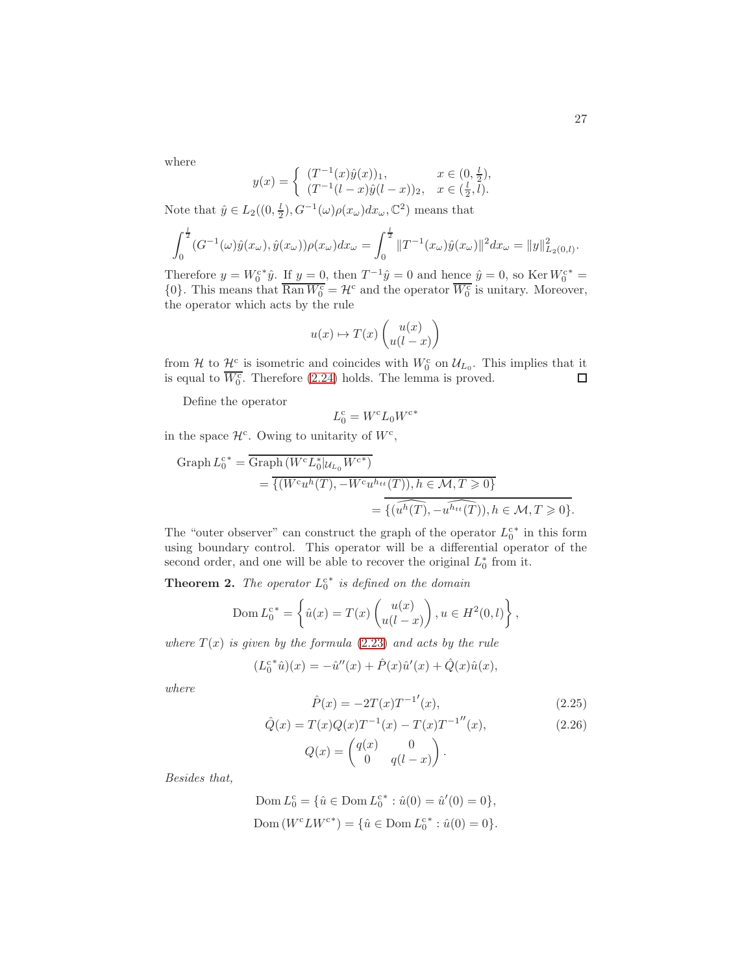where

$$
y(x) = \begin{cases} (T^{-1}(x)\hat{y}(x))_1, & x \in (0, \frac{l}{2}), \\ (T^{-1}(l-x)\hat{y}(l-x))_2, & x \in (\frac{l}{2}, l). \end{cases}
$$

Note that  $\hat{y} \in L_2((0, \frac{1}{2}), G^{-1}(\omega)\rho(x_{\omega})dx_{\omega}, \mathbb{C}^2)$  means that

$$
\int_0^{\frac{1}{2}} (G^{-1}(\omega)\hat{y}(x_{\omega}), \hat{y}(x_{\omega}))\rho(x_{\omega})dx_{\omega} = \int_0^{\frac{1}{2}} \|T^{-1}(x_{\omega})\hat{y}(x_{\omega})\|^2 dx_{\omega} = \|y\|_{L_2(0,l)}^2.
$$

Therefore  $y = W_0^{c*}\hat{y}$ . If  $y = 0$ , then  $T^{-1}\hat{y} = 0$  and hence  $\hat{y} = 0$ , so Ker  $W_0^{c*} = 0$  $\{0\}$ . This means that  $\overline{\text{Ran }W_0^c} = \mathcal{H}^c$  and the operator  $\overline{W_0^c}$  is unitary. Moreover, the operator which acts by the rule

$$
u(x) \mapsto T(x) \begin{pmatrix} u(x) \\ u(l-x) \end{pmatrix}
$$

from H to  $\mathcal{H}^c$  is isometric and coincides with  $W_0^c$  on  $\mathcal{U}_{L_0}$ . This implies that it is equal to  $\overline{W_0^c}$ . Therefore [\(2.24\)](#page-25-0) holds. The lemma is proved.  $\Box$ 

Define the operator

$$
L_0^{\rm c} = W^{\rm c} L_0 W^{\rm c*}
$$

in the space  $\mathcal{H}^c$ . Owing to unitarity of  $W^c$ ,

Graph 
$$
L_0^{c*}
$$
 = Graph  $(W^c L_0^* | u_{L_0} W^{c*})$   
\n=  $\overline{\{(W^c u^h(T), -W^c u^{h_{tt}}(T)), h \in \mathcal{M}, T \ge 0\}}$   
\n=  $\overline{\{(u^h(T), -u^{h_{tt}}(T)), h \in \mathcal{M}, T \ge 0\}}$ .

The "outer observer" can construct the graph of the operator  $L_0^{c*}$  in this form using boundary control. This operator will be a differential operator of the second order, and one will be able to recover the original  $L_0^*$  from it.

**Theorem 2.** The operator  $L_0^{c*}$  is defined on the domain

$$
\text{Dom } L_0^{c*} = \left\{ \hat{u}(x) = T(x) \begin{pmatrix} u(x) \\ u(l-x) \end{pmatrix}, u \in H^2(0, l) \right\},\
$$

where  $T(x)$  is given by the formula [\(2.23\)](#page-24-1) and acts by the rule

$$
(L_0^{c*}\hat{u})(x) = -\hat{u}''(x) + \hat{P}(x)\hat{u}'(x) + \hat{Q}(x)\hat{u}(x),
$$

where

$$
\hat{P}(x) = -2T(x)T^{-1}(x),\tag{2.25}
$$

<span id="page-26-0"></span>
$$
\hat{Q}(x) = T(x)Q(x)T^{-1}(x) - T(x)T^{-1}''(x),
$$
\n(2.26)

$$
Q(x) = \begin{pmatrix} q(x) & 0 \\ 0 & q(l-x) \end{pmatrix}.
$$

Besides that,

Dom 
$$
L_0^c = \{ \hat{u} \in \text{Dom } L_0^{c^*} : \hat{u}(0) = \hat{u}'(0) = 0 \},
$$
  
Dom  $(W^c L W^{c^*}) = \{ \hat{u} \in \text{Dom } L_0^{c^*} : \hat{u}(0) = 0 \}.$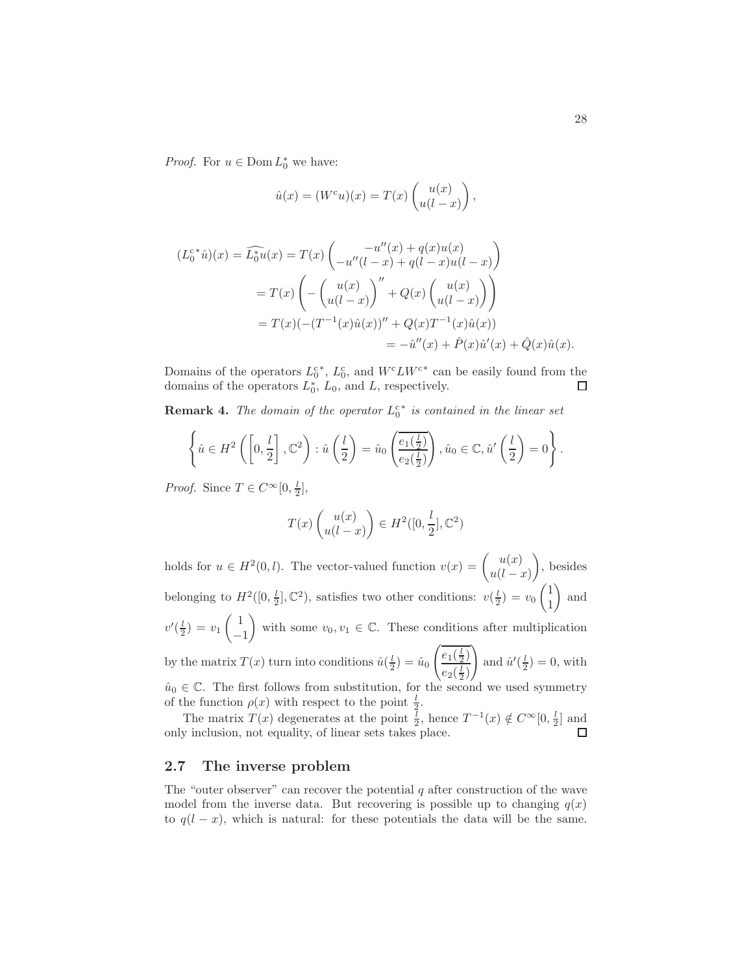*Proof.* For  $u \in \text{Dom } L_0^*$  we have:

$$
\hat{u}(x) = (W^c u)(x) = T(x) \begin{pmatrix} u(x) \\ u(l-x) \end{pmatrix},
$$

$$
(L_0^{c*}\hat{u})(x) = \widehat{L_0^*u}(x) = T(x) \begin{pmatrix} -u''(x) + q(x)u(x) \\ -u''(l-x) + q(l-x)u(l-x) \end{pmatrix}
$$
  
=  $T(x) \begin{pmatrix} -\begin{pmatrix} u(x) \\ u(l-x) \end{pmatrix}'' + Q(x) \begin{pmatrix} u(x) \\ u(l-x) \end{pmatrix} \end{pmatrix}$   
=  $T(x) (-(T^{-1}(x)\hat{u}(x))'' + Q(x)T^{-1}(x)\hat{u}(x))$   
=  $-\hat{u}''(x) + \hat{P}(x)\hat{u}'(x) + \hat{Q}(x)\hat{u}(x).$ 

Domains of the operators  $L_0^{c*}$ ,  $L_0^{c}$ , and  $W^c L W^{c*}$  can be easily found from the domains of the operators  $L_0^*$ ,  $L_0$ , and  $L$ , respectively.  $\Box$ 

**Remark 4.** The domain of the operator  $L_0^{c*}$  is contained in the linear set

$$
\left\{\hat{u}\in H^2\left(\left[0,\frac{l}{2}\right],\mathbb{C}^2\right):\hat{u}\left(\frac{l}{2}\right)=\hat{u}_0\left(\frac{e_1(\frac{l}{2})}{e_2(\frac{l}{2})}\right),\hat{u}_0\in\mathbb{C},\hat{u}'\left(\frac{l}{2}\right)=0\right\}.
$$

*Proof.* Since  $T \in C^{\infty}[0, \frac{l}{2}],$ 

$$
T(x)\begin{pmatrix}u(x)\\u(l-x)\end{pmatrix}\in H^2([0,\frac{l}{2}],\mathbb{C}^2)
$$

holds for  $u \in H^2(0, l)$ . The vector-valued function  $v(x) = \begin{pmatrix} u(x) \\ u'(x) \end{pmatrix}$  $u(l-x)$  $\overline{ }$ , besides belonging to  $H^2([0, \frac{l}{2}], \mathbb{C}^2)$ , satisfies two other conditions:  $v(\frac{l}{2}) = v_0$  $(1)$ 1  $\setminus$ and  $v'(\frac{l}{2}) = v_1$  $\begin{pmatrix} 1 \end{pmatrix}$ −1 with some  $v_0, v_1 \in \mathbb{C}$ . These conditions after multiplication by the matrix  $T(x)$  turn into conditions  $\hat{u}(\frac{l}{2}) = \hat{u}_0$  $\sqrt{\frac{e_1(\frac{1}{2})}$  $e_2(\frac{l}{2})$ ! and  $\hat{u}'(\frac{l}{2}) = 0$ , with  $\hat{u}_0 \in \mathbb{C}$ . The first follows from substitution, for the second we used symmetry

of the function  $\rho(x)$  with respect to the point  $\frac{l}{2}$ .

The matrix  $T(x)$  degenerates at the point  $\frac{l}{2}$ , hence  $T^{-1}(x) \notin C^{\infty}[0, \frac{l}{2}]$  and only inclusion, not equality, of linear sets takes place.

#### 2.7 The inverse problem

The "outer observer" can recover the potential q after construction of the wave model from the inverse data. But recovering is possible up to changing  $q(x)$ to  $q(l - x)$ , which is natural: for these potentials the data will be the same.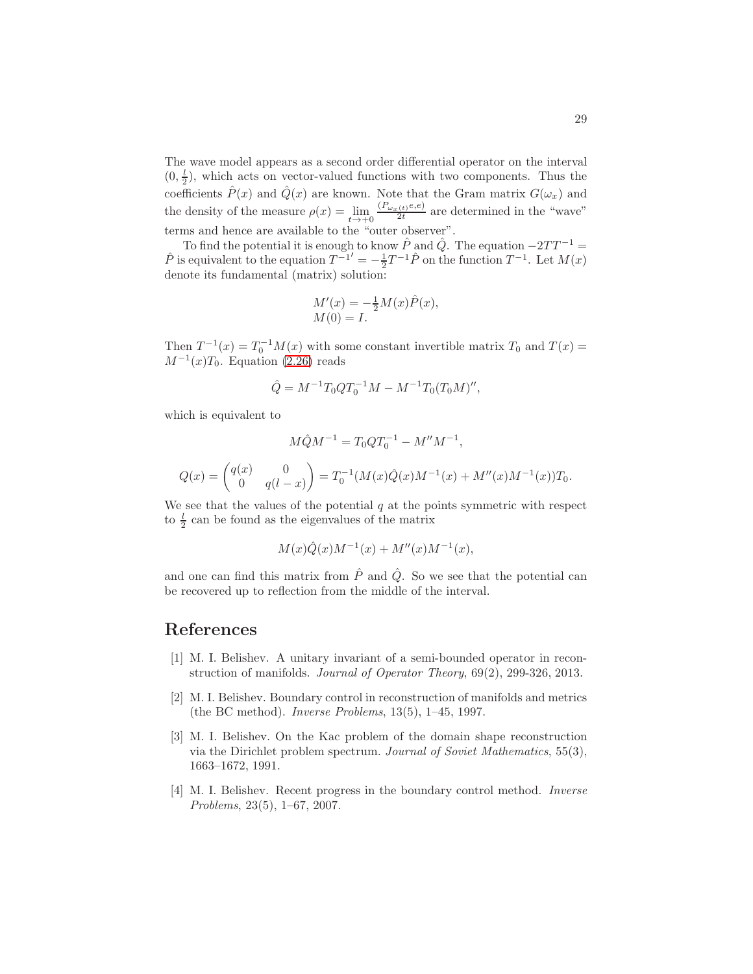The wave model appears as a second order differential operator on the interval  $(0, \frac{l}{2})$ , which acts on vector-valued functions with two components. Thus the coefficients  $\hat{P}(x)$  and  $\hat{Q}(x)$  are known. Note that the Gram matrix  $G(\omega_x)$  and the density of the measure  $\rho(x) = \lim_{t \to +0} \frac{(P_{\omega_x(t)}e, e)}{2t}$  are determined in the "wave" terms and hence are available to the "outer observer".

To find the potential it is enough to know  $\hat{P}$  and  $\hat{Q}$ . The equation  $-2TT^{-1}$  =  $\hat{P}$  is equivalent to the equation  $T^{-1'} = -\frac{1}{2}T^{-1}\hat{P}$  on the function  $T^{-1}$ . Let  $M(x)$ denote its fundamental (matrix) solution:

$$
M'(x) = -\frac{1}{2}M(x)\hat{P}(x), M(0) = I.
$$

Then  $T^{-1}(x) = T_0^{-1}M(x)$  with some constant invertible matrix  $T_0$  and  $T(x) =$  $M^{-1}(x)T_0$ . Equation [\(2.26\)](#page-26-0) reads

$$
\hat{Q} = M^{-1} T_0 Q T_0^{-1} M - M^{-1} T_0 (T_0 M)''
$$

which is equivalent to

$$
M\hat{Q}M^{-1} = T_0QT_0^{-1} - M''M^{-1},
$$

$$
Q(x) = \begin{pmatrix} q(x) & 0 \\ 0 & q(l-x) \end{pmatrix} = T_0^{-1}(M(x)\hat{Q}(x)M^{-1}(x) + M''(x)M^{-1}(x))T_0.
$$

We see that the values of the potential  $q$  at the points symmetric with respect to  $\frac{l}{2}$  can be found as the eigenvalues of the matrix

$$
M(x)\hat{Q}(x)M^{-1}(x) + M''(x)M^{-1}(x),
$$

and one can find this matrix from  $\hat{P}$  and  $\hat{Q}$ . So we see that the potential can be recovered up to reflection from the middle of the interval.

# <span id="page-28-0"></span>References

- [1] M. I. Belishev. A unitary invariant of a semi-bounded operator in reconstruction of manifolds. Journal of Operator Theory, 69(2), 299-326, 2013.
- [2] M. I. Belishev. Boundary control in reconstruction of manifolds and metrics (the BC method). Inverse Problems, 13(5), 1–45, 1997.
- [3] M. I. Belishev. On the Kac problem of the domain shape reconstruction via the Dirichlet problem spectrum. Journal of Soviet Mathematics, 55(3), 1663–1672, 1991.
- [4] M. I. Belishev. Recent progress in the boundary control method. Inverse Problems, 23(5), 1–67, 2007.